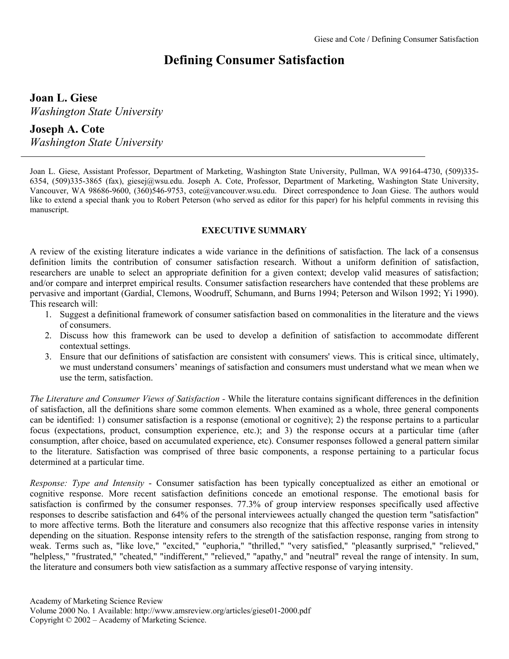# **Defining Consumer Satisfaction**

**Joan L. Giese**  *Washington State University* 

# **Joseph A. Cote**

*Washington State University* 

Joan L. Giese, Assistant Professor, Department of Marketing, Washington State University, Pullman, WA 99164-4730, (509)335- 6354, (509)335-3865 (fax), giesej@wsu.edu. Joseph A. Cote, Professor, Department of Marketing, Washington State University, Vancouver, WA 98686-9600, (360)546-9753, cote@vancouver.wsu.edu. Direct correspondence to Joan Giese. The authors would like to extend a special thank you to Robert Peterson (who served as editor for this paper) for his helpful comments in revising this manuscript.

# **EXECUTIVE SUMMARY**

A review of the existing literature indicates a wide variance in the definitions of satisfaction. The lack of a consensus definition limits the contribution of consumer satisfaction research. Without a uniform definition of satisfaction, researchers are unable to select an appropriate definition for a given context; develop valid measures of satisfaction; and/or compare and interpret empirical results. Consumer satisfaction researchers have contended that these problems are pervasive and important (Gardial, Clemons, Woodruff, Schumann, and Burns 1994; Peterson and Wilson 1992; Yi 1990). This research will:

- 1. Suggest a definitional framework of consumer satisfaction based on commonalities in the literature and the views of consumers.
- 2. Discuss how this framework can be used to develop a definition of satisfaction to accommodate different contextual settings.
- 3. Ensure that our definitions of satisfaction are consistent with consumers' views. This is critical since, ultimately, we must understand consumers' meanings of satisfaction and consumers must understand what we mean when we use the term, satisfaction.

*The Literature and Consumer Views of Satisfaction -* While the literature contains significant differences in the definition of satisfaction, all the definitions share some common elements. When examined as a whole, three general components can be identified: 1) consumer satisfaction is a response (emotional or cognitive); 2) the response pertains to a particular focus (expectations, product, consumption experience, etc.); and 3) the response occurs at a particular time (after consumption, after choice, based on accumulated experience, etc). Consumer responses followed a general pattern similar to the literature. Satisfaction was comprised of three basic components, a response pertaining to a particular focus determined at a particular time.

*Response: Type and Intensity* - Consumer satisfaction has been typically conceptualized as either an emotional or cognitive response. More recent satisfaction definitions concede an emotional response. The emotional basis for satisfaction is confirmed by the consumer responses. 77.3% of group interview responses specifically used affective responses to describe satisfaction and 64% of the personal interviewees actually changed the question term "satisfaction" to more affective terms. Both the literature and consumers also recognize that this affective response varies in intensity depending on the situation. Response intensity refers to the strength of the satisfaction response, ranging from strong to weak. Terms such as, "like love," "excited," "euphoria," "thrilled," "very satisfied," "pleasantly surprised," "relieved," "helpless," "frustrated," "cheated," "indifferent," "relieved," "apathy," and "neutral" reveal the range of intensity. In sum, the literature and consumers both view satisfaction as a summary affective response of varying intensity.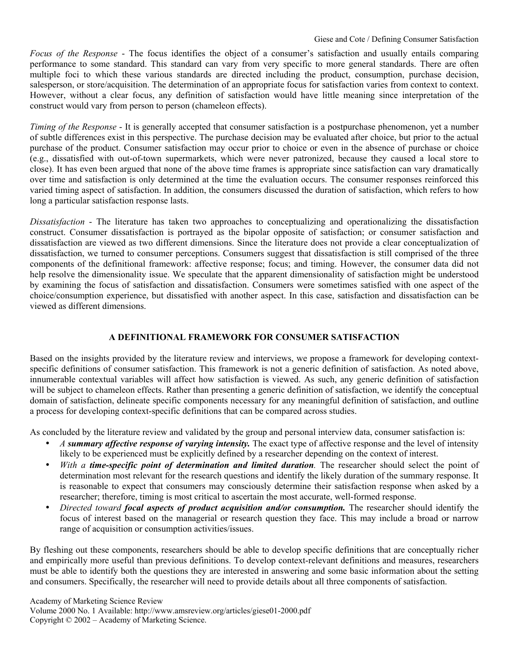*Focus of the Response* - The focus identifies the object of a consumer's satisfaction and usually entails comparing performance to some standard. This standard can vary from very specific to more general standards. There are often multiple foci to which these various standards are directed including the product, consumption, purchase decision, salesperson, or store/acquisition. The determination of an appropriate focus for satisfaction varies from context to context. However, without a clear focus, any definition of satisfaction would have little meaning since interpretation of the construct would vary from person to person (chameleon effects).

*Timing of the Response* - It is generally accepted that consumer satisfaction is a postpurchase phenomenon, yet a number of subtle differences exist in this perspective. The purchase decision may be evaluated after choice, but prior to the actual purchase of the product. Consumer satisfaction may occur prior to choice or even in the absence of purchase or choice (e.g., dissatisfied with out-of-town supermarkets, which were never patronized, because they caused a local store to close). It has even been argued that none of the above time frames is appropriate since satisfaction can vary dramatically over time and satisfaction is only determined at the time the evaluation occurs. The consumer responses reinforced this varied timing aspect of satisfaction. In addition, the consumers discussed the duration of satisfaction, which refers to how long a particular satisfaction response lasts.

*Dissatisfaction* - The literature has taken two approaches to conceptualizing and operationalizing the dissatisfaction construct. Consumer dissatisfaction is portrayed as the bipolar opposite of satisfaction; or consumer satisfaction and dissatisfaction are viewed as two different dimensions. Since the literature does not provide a clear conceptualization of dissatisfaction, we turned to consumer perceptions. Consumers suggest that dissatisfaction is still comprised of the three components of the definitional framework: affective response; focus; and timing. However, the consumer data did not help resolve the dimensionality issue. We speculate that the apparent dimensionality of satisfaction might be understood by examining the focus of satisfaction and dissatisfaction. Consumers were sometimes satisfied with one aspect of the choice/consumption experience, but dissatisfied with another aspect. In this case, satisfaction and dissatisfaction can be viewed as different dimensions.

# **A DEFINITIONAL FRAMEWORK FOR CONSUMER SATISFACTION**

Based on the insights provided by the literature review and interviews, we propose a framework for developing contextspecific definitions of consumer satisfaction. This framework is not a generic definition of satisfaction. As noted above, innumerable contextual variables will affect how satisfaction is viewed. As such, any generic definition of satisfaction will be subject to chameleon effects. Rather than presenting a generic definition of satisfaction, we identify the conceptual domain of satisfaction, delineate specific components necessary for any meaningful definition of satisfaction, and outline a process for developing context-specific definitions that can be compared across studies.

As concluded by the literature review and validated by the group and personal interview data, consumer satisfaction is:

- *A summary affective response of varying intensity.* The exact type of affective response and the level of intensity likely to be experienced must be explicitly defined by a researcher depending on the context of interest.
- *With a time-specific point of determination and limited duration.* The researcher should select the point of determination most relevant for the research questions and identify the likely duration of the summary response. It is reasonable to expect that consumers may consciously determine their satisfaction response when asked by a researcher; therefore, timing is most critical to ascertain the most accurate, well-formed response.
- *Directed toward focal aspects of product acquisition and/or consumption.* The researcher should identify the focus of interest based on the managerial or research question they face. This may include a broad or narrow range of acquisition or consumption activities/issues.

By fleshing out these components, researchers should be able to develop specific definitions that are conceptually richer and empirically more useful than previous definitions. To develop context-relevant definitions and measures, researchers must be able to identify both the questions they are interested in answering and some basic information about the setting and consumers. Specifically, the researcher will need to provide details about all three components of satisfaction.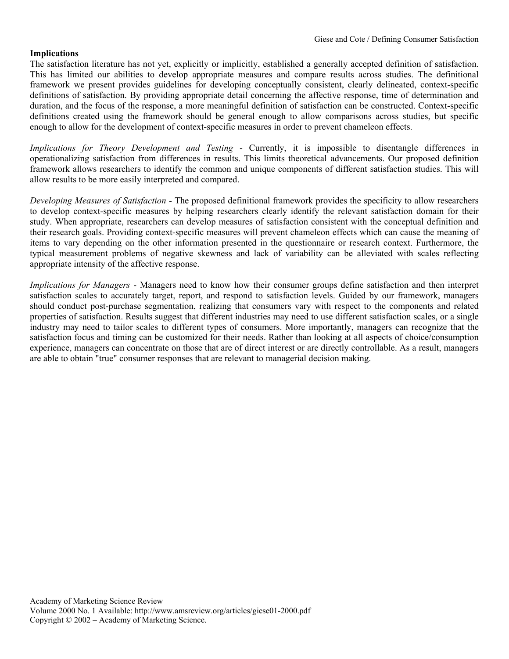#### **Implications**

The satisfaction literature has not yet, explicitly or implicitly, established a generally accepted definition of satisfaction. This has limited our abilities to develop appropriate measures and compare results across studies. The definitional framework we present provides guidelines for developing conceptually consistent, clearly delineated, context-specific definitions of satisfaction. By providing appropriate detail concerning the affective response, time of determination and duration, and the focus of the response, a more meaningful definition of satisfaction can be constructed. Context-specific definitions created using the framework should be general enough to allow comparisons across studies, but specific enough to allow for the development of context-specific measures in order to prevent chameleon effects.

*Implications for Theory Development and Testing -* Currently, it is impossible to disentangle differences in operationalizing satisfaction from differences in results. This limits theoretical advancements. Our proposed definition framework allows researchers to identify the common and unique components of different satisfaction studies. This will allow results to be more easily interpreted and compared.

*Developing Measures of Satisfaction* - The proposed definitional framework provides the specificity to allow researchers to develop context-specific measures by helping researchers clearly identify the relevant satisfaction domain for their study. When appropriate, researchers can develop measures of satisfaction consistent with the conceptual definition and their research goals. Providing context-specific measures will prevent chameleon effects which can cause the meaning of items to vary depending on the other information presented in the questionnaire or research context. Furthermore, the typical measurement problems of negative skewness and lack of variability can be alleviated with scales reflecting appropriate intensity of the affective response.

*Implications for Managers* - Managers need to know how their consumer groups define satisfaction and then interpret satisfaction scales to accurately target, report, and respond to satisfaction levels. Guided by our framework, managers should conduct post-purchase segmentation, realizing that consumers vary with respect to the components and related properties of satisfaction. Results suggest that different industries may need to use different satisfaction scales, or a single industry may need to tailor scales to different types of consumers. More importantly, managers can recognize that the satisfaction focus and timing can be customized for their needs. Rather than looking at all aspects of choice/consumption experience, managers can concentrate on those that are of direct interest or are directly controllable. As a result, managers are able to obtain "true" consumer responses that are relevant to managerial decision making.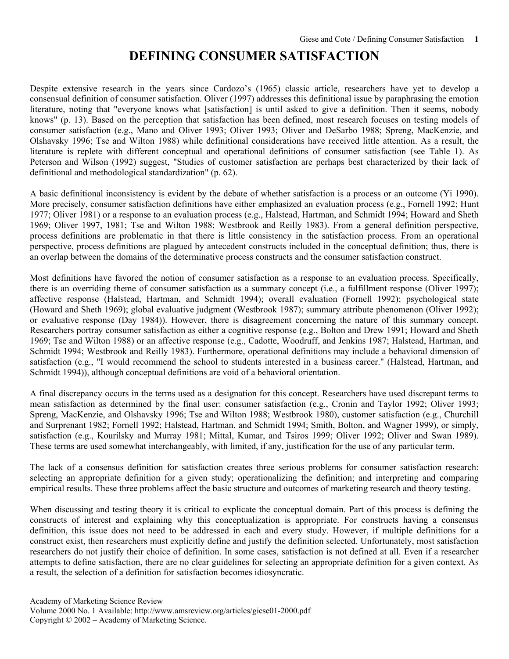# **DEFINING CONSUMER SATISFACTION**

Despite extensive research in the years since Cardozo's (1965) classic article, researchers have yet to develop a consensual definition of consumer satisfaction. Oliver (1997) addresses this definitional issue by paraphrasing the emotion literature, noting that "everyone knows what [satisfaction] is until asked to give a definition. Then it seems, nobody knows" (p. 13). Based on the perception that satisfaction has been defined, most research focuses on testing models of consumer satisfaction (e.g., Mano and Oliver 1993; Oliver 1993; Oliver and DeSarbo 1988; Spreng, MacKenzie, and Olshavsky 1996; Tse and Wilton 1988) while definitional considerations have received little attention. As a result, the literature is replete with different conceptual and operational definitions of consumer satisfaction (see Table 1). As Peterson and Wilson (1992) suggest, "Studies of customer satisfaction are perhaps best characterized by their lack of definitional and methodological standardization" (p. 62).

A basic definitional inconsistency is evident by the debate of whether satisfaction is a process or an outcome (Yi 1990). More precisely, consumer satisfaction definitions have either emphasized an evaluation process (e.g., Fornell 1992; Hunt 1977; Oliver 1981) or a response to an evaluation process (e.g., Halstead, Hartman, and Schmidt 1994; Howard and Sheth 1969; Oliver 1997, 1981; Tse and Wilton 1988; Westbrook and Reilly 1983). From a general definition perspective, process definitions are problematic in that there is little consistency in the satisfaction process. From an operational perspective, process definitions are plagued by antecedent constructs included in the conceptual definition; thus, there is an overlap between the domains of the determinative process constructs and the consumer satisfaction construct.

Most definitions have favored the notion of consumer satisfaction as a response to an evaluation process. Specifically, there is an overriding theme of consumer satisfaction as a summary concept (i.e., a fulfillment response (Oliver 1997); affective response (Halstead, Hartman, and Schmidt 1994); overall evaluation (Fornell 1992); psychological state (Howard and Sheth 1969); global evaluative judgment (Westbrook 1987); summary attribute phenomenon (Oliver 1992); or evaluative response (Day 1984)). However, there is disagreement concerning the nature of this summary concept. Researchers portray consumer satisfaction as either a cognitive response (e.g., Bolton and Drew 1991; Howard and Sheth 1969; Tse and Wilton 1988) or an affective response (e.g., Cadotte, Woodruff, and Jenkins 1987; Halstead, Hartman, and Schmidt 1994; Westbrook and Reilly 1983). Furthermore, operational definitions may include a behavioral dimension of satisfaction (e.g., "I would recommend the school to students interested in a business career." (Halstead, Hartman, and Schmidt 1994)), although conceptual definitions are void of a behavioral orientation.

A final discrepancy occurs in the terms used as a designation for this concept. Researchers have used discrepant terms to mean satisfaction as determined by the final user: consumer satisfaction (e.g., Cronin and Taylor 1992; Oliver 1993; Spreng, MacKenzie, and Olshavsky 1996; Tse and Wilton 1988; Westbrook 1980), customer satisfaction (e.g., Churchill and Surprenant 1982; Fornell 1992; Halstead, Hartman, and Schmidt 1994; Smith, Bolton, and Wagner 1999), or simply, satisfaction (e.g., Kourilsky and Murray 1981; Mittal, Kumar, and Tsiros 1999; Oliver 1992; Oliver and Swan 1989). These terms are used somewhat interchangeably, with limited, if any, justification for the use of any particular term.

The lack of a consensus definition for satisfaction creates three serious problems for consumer satisfaction research: selecting an appropriate definition for a given study; operationalizing the definition; and interpreting and comparing empirical results. These three problems affect the basic structure and outcomes of marketing research and theory testing.

When discussing and testing theory it is critical to explicate the conceptual domain. Part of this process is defining the constructs of interest and explaining why this conceptualization is appropriate. For constructs having a consensus definition, this issue does not need to be addressed in each and every study. However, if multiple definitions for a construct exist, then researchers must explicitly define and justify the definition selected. Unfortunately, most satisfaction researchers do not justify their choice of definition. In some cases, satisfaction is not defined at all. Even if a researcher attempts to define satisfaction, there are no clear guidelines for selecting an appropriate definition for a given context. As a result, the selection of a definition for satisfaction becomes idiosyncratic.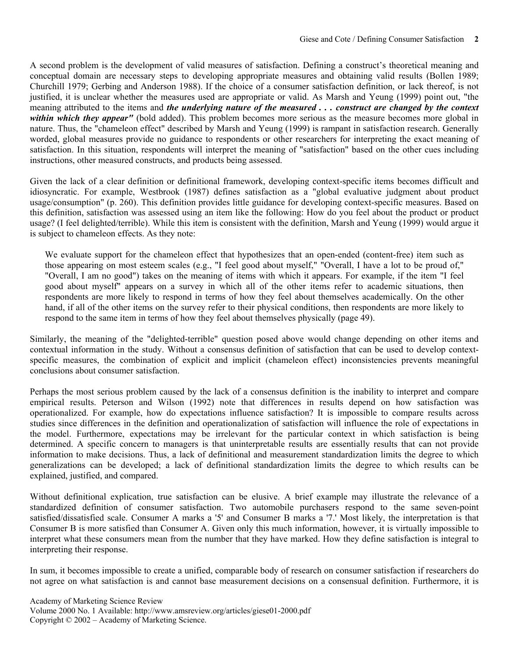A second problem is the development of valid measures of satisfaction. Defining a construct's theoretical meaning and conceptual domain are necessary steps to developing appropriate measures and obtaining valid results (Bollen 1989; Churchill 1979; Gerbing and Anderson 1988). If the choice of a consumer satisfaction definition, or lack thereof, is not justified, it is unclear whether the measures used are appropriate or valid. As Marsh and Yeung (1999) point out, "the meaning attributed to the items and *the underlying nature of the measured . . . construct are changed by the context within which they appear"* (bold added). This problem becomes more serious as the measure becomes more global in nature. Thus, the "chameleon effect" described by Marsh and Yeung (1999) is rampant in satisfaction research. Generally worded, global measures provide no guidance to respondents or other researchers for interpreting the exact meaning of satisfaction. In this situation, respondents will interpret the meaning of "satisfaction" based on the other cues including instructions, other measured constructs, and products being assessed.

Given the lack of a clear definition or definitional framework, developing context-specific items becomes difficult and idiosyncratic. For example, Westbrook (1987) defines satisfaction as a "global evaluative judgment about product usage/consumption" (p. 260). This definition provides little guidance for developing context-specific measures. Based on this definition, satisfaction was assessed using an item like the following: How do you feel about the product or product usage? (I feel delighted/terrible). While this item is consistent with the definition, Marsh and Yeung (1999) would argue it is subject to chameleon effects. As they note:

We evaluate support for the chameleon effect that hypothesizes that an open-ended (content-free) item such as those appearing on most esteem scales (e.g., "I feel good about myself," "Overall, I have a lot to be proud of," "Overall, I am no good") takes on the meaning of items with which it appears. For example, if the item "I feel good about myself" appears on a survey in which all of the other items refer to academic situations, then respondents are more likely to respond in terms of how they feel about themselves academically. On the other hand, if all of the other items on the survey refer to their physical conditions, then respondents are more likely to respond to the same item in terms of how they feel about themselves physically (page 49).

Similarly, the meaning of the "delighted-terrible" question posed above would change depending on other items and contextual information in the study. Without a consensus definition of satisfaction that can be used to develop contextspecific measures, the combination of explicit and implicit (chameleon effect) inconsistencies prevents meaningful conclusions about consumer satisfaction.

Perhaps the most serious problem caused by the lack of a consensus definition is the inability to interpret and compare empirical results. Peterson and Wilson (1992) note that differences in results depend on how satisfaction was operationalized. For example, how do expectations influence satisfaction? It is impossible to compare results across studies since differences in the definition and operationalization of satisfaction will influence the role of expectations in the model. Furthermore, expectations may be irrelevant for the particular context in which satisfaction is being determined. A specific concern to managers is that uninterpretable results are essentially results that can not provide information to make decisions. Thus, a lack of definitional and measurement standardization limits the degree to which generalizations can be developed; a lack of definitional standardization limits the degree to which results can be explained, justified, and compared.

Without definitional explication, true satisfaction can be elusive. A brief example may illustrate the relevance of a standardized definition of consumer satisfaction. Two automobile purchasers respond to the same seven-point satisfied/dissatisfied scale. Consumer A marks a '5' and Consumer B marks a '7.' Most likely, the interpretation is that Consumer B is more satisfied than Consumer A. Given only this much information, however, it is virtually impossible to interpret what these consumers mean from the number that they have marked. How they define satisfaction is integral to interpreting their response.

In sum, it becomes impossible to create a unified, comparable body of research on consumer satisfaction if researchers do not agree on what satisfaction is and cannot base measurement decisions on a consensual definition. Furthermore, it is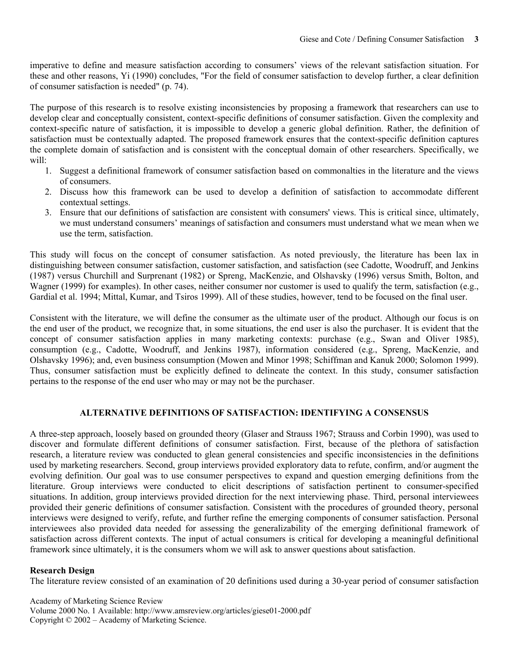imperative to define and measure satisfaction according to consumers' views of the relevant satisfaction situation. For these and other reasons, Yi (1990) concludes, "For the field of consumer satisfaction to develop further, a clear definition of consumer satisfaction is needed" (p. 74).

The purpose of this research is to resolve existing inconsistencies by proposing a framework that researchers can use to develop clear and conceptually consistent, context-specific definitions of consumer satisfaction. Given the complexity and context-specific nature of satisfaction, it is impossible to develop a generic global definition. Rather, the definition of satisfaction must be contextually adapted. The proposed framework ensures that the context-specific definition captures the complete domain of satisfaction and is consistent with the conceptual domain of other researchers. Specifically, we will:

- 1. Suggest a definitional framework of consumer satisfaction based on commonalties in the literature and the views of consumers.
- 2. Discuss how this framework can be used to develop a definition of satisfaction to accommodate different contextual settings.
- 3. Ensure that our definitions of satisfaction are consistent with consumers' views. This is critical since, ultimately, we must understand consumers' meanings of satisfaction and consumers must understand what we mean when we use the term, satisfaction.

This study will focus on the concept of consumer satisfaction. As noted previously, the literature has been lax in distinguishing between consumer satisfaction, customer satisfaction, and satisfaction (see Cadotte, Woodruff, and Jenkins (1987) versus Churchill and Surprenant (1982) or Spreng, MacKenzie, and Olshavsky (1996) versus Smith, Bolton, and Wagner (1999) for examples). In other cases, neither consumer nor customer is used to qualify the term, satisfaction (e.g., Gardial et al. 1994; Mittal, Kumar, and Tsiros 1999). All of these studies, however, tend to be focused on the final user.

Consistent with the literature, we will define the consumer as the ultimate user of the product. Although our focus is on the end user of the product, we recognize that, in some situations, the end user is also the purchaser. It is evident that the concept of consumer satisfaction applies in many marketing contexts: purchase (e.g., Swan and Oliver 1985), consumption (e.g., Cadotte, Woodruff, and Jenkins 1987), information considered (e.g., Spreng, MacKenzie, and Olshavsky 1996); and, even business consumption (Mowen and Minor 1998; Schiffman and Kanuk 2000; Solomon 1999). Thus, consumer satisfaction must be explicitly defined to delineate the context. In this study, consumer satisfaction pertains to the response of the end user who may or may not be the purchaser.

#### **ALTERNATIVE DEFINITIONS OF SATISFACTION: IDENTIFYING A CONSENSUS**

A three-step approach, loosely based on grounded theory (Glaser and Strauss 1967; Strauss and Corbin 1990), was used to discover and formulate different definitions of consumer satisfaction. First, because of the plethora of satisfaction research, a literature review was conducted to glean general consistencies and specific inconsistencies in the definitions used by marketing researchers. Second, group interviews provided exploratory data to refute, confirm, and/or augment the evolving definition. Our goal was to use consumer perspectives to expand and question emerging definitions from the literature. Group interviews were conducted to elicit descriptions of satisfaction pertinent to consumer-specified situations. In addition, group interviews provided direction for the next interviewing phase. Third, personal interviewees provided their generic definitions of consumer satisfaction. Consistent with the procedures of grounded theory, personal interviews were designed to verify, refute, and further refine the emerging components of consumer satisfaction. Personal interviewees also provided data needed for assessing the generalizability of the emerging definitional framework of satisfaction across different contexts. The input of actual consumers is critical for developing a meaningful definitional framework since ultimately, it is the consumers whom we will ask to answer questions about satisfaction.

#### **Research Design**

The literature review consisted of an examination of 20 definitions used during a 30-year period of consumer satisfaction

Academy of Marketing Science Review Volume 2000 No. 1 Available: http://www.amsreview.org/articles/giese01-2000.pdf Copyright © 2002 – Academy of Marketing Science.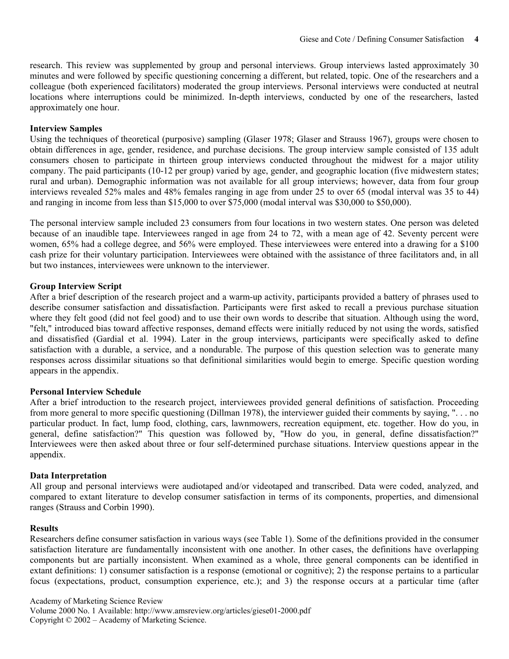research. This review was supplemented by group and personal interviews. Group interviews lasted approximately 30 minutes and were followed by specific questioning concerning a different, but related, topic. One of the researchers and a colleague (both experienced facilitators) moderated the group interviews. Personal interviews were conducted at neutral locations where interruptions could be minimized. In-depth interviews, conducted by one of the researchers, lasted approximately one hour.

#### **Interview Samples**

Using the techniques of theoretical (purposive) sampling (Glaser 1978; Glaser and Strauss 1967), groups were chosen to obtain differences in age, gender, residence, and purchase decisions. The group interview sample consisted of 135 adult consumers chosen to participate in thirteen group interviews conducted throughout the midwest for a major utility company. The paid participants (10-12 per group) varied by age, gender, and geographic location (five midwestern states; rural and urban). Demographic information was not available for all group interviews; however, data from four group interviews revealed 52% males and 48% females ranging in age from under 25 to over 65 (modal interval was 35 to 44) and ranging in income from less than \$15,000 to over \$75,000 (modal interval was \$30,000 to \$50,000).

The personal interview sample included 23 consumers from four locations in two western states. One person was deleted because of an inaudible tape. Interviewees ranged in age from 24 to 72, with a mean age of 42. Seventy percent were women, 65% had a college degree, and 56% were employed. These interviewees were entered into a drawing for a \$100 cash prize for their voluntary participation. Interviewees were obtained with the assistance of three facilitators and, in all but two instances, interviewees were unknown to the interviewer.

# **Group Interview Script**

After a brief description of the research project and a warm-up activity, participants provided a battery of phrases used to describe consumer satisfaction and dissatisfaction. Participants were first asked to recall a previous purchase situation where they felt good (did not feel good) and to use their own words to describe that situation. Although using the word, "felt," introduced bias toward affective responses, demand effects were initially reduced by not using the words, satisfied and dissatisfied (Gardial et al. 1994). Later in the group interviews, participants were specifically asked to define satisfaction with a durable, a service, and a nondurable. The purpose of this question selection was to generate many responses across dissimilar situations so that definitional similarities would begin to emerge. Specific question wording appears in the appendix.

#### **Personal Interview Schedule**

After a brief introduction to the research project, interviewees provided general definitions of satisfaction. Proceeding from more general to more specific questioning (Dillman 1978), the interviewer guided their comments by saying, ". . . no particular product. In fact, lump food, clothing, cars, lawnmowers, recreation equipment, etc. together. How do you, in general, define satisfaction?" This question was followed by, "How do you, in general, define dissatisfaction?" Interviewees were then asked about three or four self-determined purchase situations. Interview questions appear in the appendix.

#### **Data Interpretation**

All group and personal interviews were audiotaped and/or videotaped and transcribed. Data were coded, analyzed, and compared to extant literature to develop consumer satisfaction in terms of its components, properties, and dimensional ranges (Strauss and Corbin 1990).

#### **Results**

Researchers define consumer satisfaction in various ways (see Table 1). Some of the definitions provided in the consumer satisfaction literature are fundamentally inconsistent with one another. In other cases, the definitions have overlapping components but are partially inconsistent. When examined as a whole, three general components can be identified in extant definitions: 1) consumer satisfaction is a response (emotional or cognitive); 2) the response pertains to a particular focus (expectations, product, consumption experience, etc.); and 3) the response occurs at a particular time (after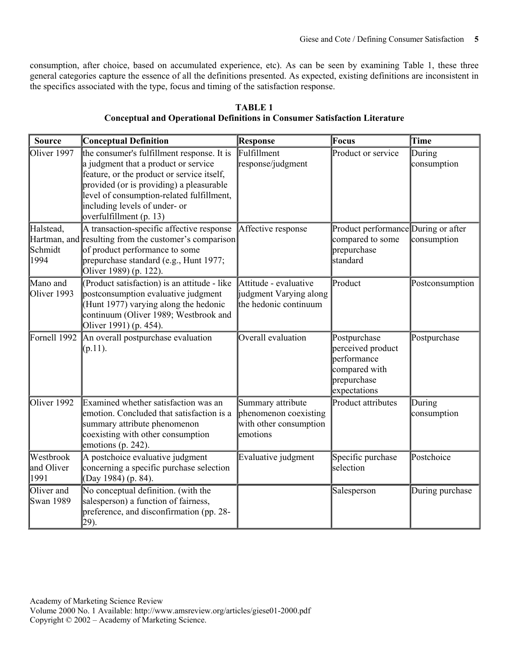consumption, after choice, based on accumulated experience, etc). As can be seen by examining Table 1, these three general categories capture the essence of all the definitions presented. As expected, existing definitions are inconsistent in the specifics associated with the type, focus and timing of the satisfaction response.

| <b>Source</b>                   | <b>Conceptual Definition</b>                                                                                                                                                                                                                                                          | <b>Response</b>                                                                  | <b>Focus</b>                                                                                     | Time                  |
|---------------------------------|---------------------------------------------------------------------------------------------------------------------------------------------------------------------------------------------------------------------------------------------------------------------------------------|----------------------------------------------------------------------------------|--------------------------------------------------------------------------------------------------|-----------------------|
| Oliver 1997                     | the consumer's fulfillment response. It is<br>a judgment that a product or service<br>feature, or the product or service itself,<br>provided (or is providing) a pleasurable<br>level of consumption-related fulfillment,<br>including levels of under- or<br>overfulfillment (p. 13) | Fulfillment<br>response/judgment                                                 | Product or service                                                                               | During<br>consumption |
| Halstead,<br>Schmidt<br>1994    | A transaction-specific affective response<br>Hartman, and resulting from the customer's comparison<br>of product performance to some<br>prepurchase standard (e.g., Hunt 1977;<br>Oliver 1989) (p. 122).                                                                              | Affective response                                                               | Product performance During or after<br>compared to some<br>prepurchase<br>standard               | consumption           |
| Mano and<br>Oliver 1993         | (Product satisfaction) is an attitude - like<br>postconsumption evaluative judgment<br>(Hunt 1977) varying along the hedonic<br>continuum (Oliver 1989; Westbrook and<br>Oliver 1991) (p. 454).                                                                                       | Attitude - evaluative<br>judgment Varying along<br>the hedonic continuum         | Product                                                                                          | Postconsumption       |
| Fornell 1992                    | An overall postpurchase evaluation<br>$(p.11)$ .                                                                                                                                                                                                                                      | Overall evaluation                                                               | Postpurchase<br>perceived product<br>performance<br>compared with<br>prepurchase<br>expectations | Postpurchase          |
| Oliver 1992                     | Examined whether satisfaction was an<br>emotion. Concluded that satisfaction is a<br>summary attribute phenomenon<br>coexisting with other consumption<br>emotions (p. 242).                                                                                                          | Summary attribute<br>phenomenon coexisting<br>with other consumption<br>emotions | <b>Product attributes</b>                                                                        | During<br>consumption |
| Westbrook<br>and Oliver<br>1991 | A postchoice evaluative judgment<br>concerning a specific purchase selection<br>(Day 1984) (p. 84).                                                                                                                                                                                   | Evaluative judgment                                                              | Specific purchase<br>selection                                                                   | Postchoice            |
| Oliver and<br>Swan 1989         | No conceptual definition. (with the<br>salesperson) a function of fairness,<br>preference, and disconfirmation (pp. 28-<br>29).                                                                                                                                                       |                                                                                  | Salesperson                                                                                      | During purchase       |

**TABLE 1 Conceptual and Operational Definitions in Consumer Satisfaction Literature**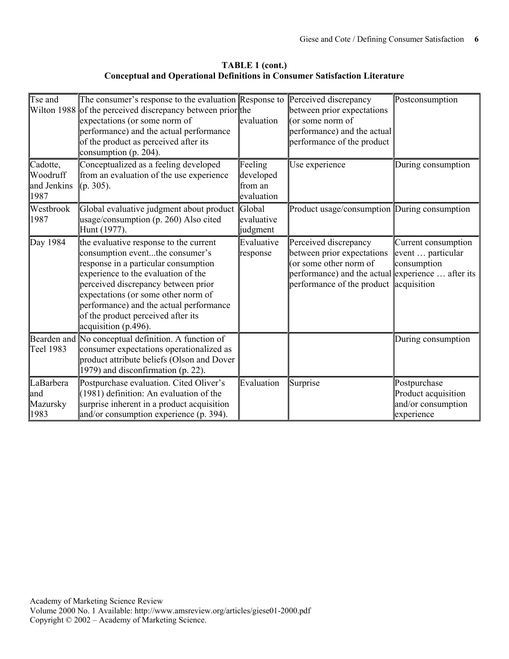**TABLE 1 (cont.) Conceptual and Operational Definitions in Consumer Satisfaction Literature** 

| Tse and<br>Wilton 1988                      | The consumer's response to the evaluation Response to Perceived discrepancy<br>of the perceived discrepancy between prior the<br>expectations (or some norm of<br>performance) and the actual performance<br>of the product as perceived after its<br>consumption (p. 204).                                                                     | evaluation                                    | between prior expectations<br>(or some norm of<br>performance) and the actual<br>performance of the product                                                                  | Postconsumption                                                         |
|---------------------------------------------|-------------------------------------------------------------------------------------------------------------------------------------------------------------------------------------------------------------------------------------------------------------------------------------------------------------------------------------------------|-----------------------------------------------|------------------------------------------------------------------------------------------------------------------------------------------------------------------------------|-------------------------------------------------------------------------|
| Cadotte,<br>Woodruff<br>and Jenkins<br>1987 | Conceptualized as a feeling developed<br>from an evaluation of the use experience<br>$(p. 305)$ .                                                                                                                                                                                                                                               | Feeling<br>developed<br>from an<br>evaluation | Use experience                                                                                                                                                               | During consumption                                                      |
| Westbrook<br>1987                           | Global evaluative judgment about product Global<br>usage/consumption (p. 260) Also cited<br>Hunt (1977).                                                                                                                                                                                                                                        | evaluative<br>judgment                        | Product usage/consumption During consumption                                                                                                                                 |                                                                         |
| Day 1984                                    | the evaluative response to the current<br>consumption eventthe consumer's<br>response in a particular consumption<br>experience to the evaluation of the<br>perceived discrepancy between prior<br>expectations (or some other norm of<br>performance) and the actual performance<br>of the product perceived after its<br>acquisition (p.496). | Evaluative<br>response                        | Perceived discrepancy<br>between prior expectations<br>(or some other norm of<br>performance) and the actual experience  after its<br>performance of the product acquisition | Current consumption<br>event  particular<br>consumption                 |
| Teel 1983                                   | Bearden and No conceptual definition. A function of<br>consumer expectations operationalized as<br>product attribute beliefs (Olson and Dover<br>1979) and disconfirmation (p. 22).                                                                                                                                                             |                                               |                                                                                                                                                                              | During consumption                                                      |
| LaBarbera<br>land<br>Mazursky<br>1983       | Postpurchase evaluation. Cited Oliver's<br>$(1981)$ definition: An evaluation of the<br>surprise inherent in a product acquisition<br>and/or consumption experience (p. 394).                                                                                                                                                                   | Evaluation                                    | Surprise                                                                                                                                                                     | Postpurchase<br>Product acquisition<br>and/or consumption<br>experience |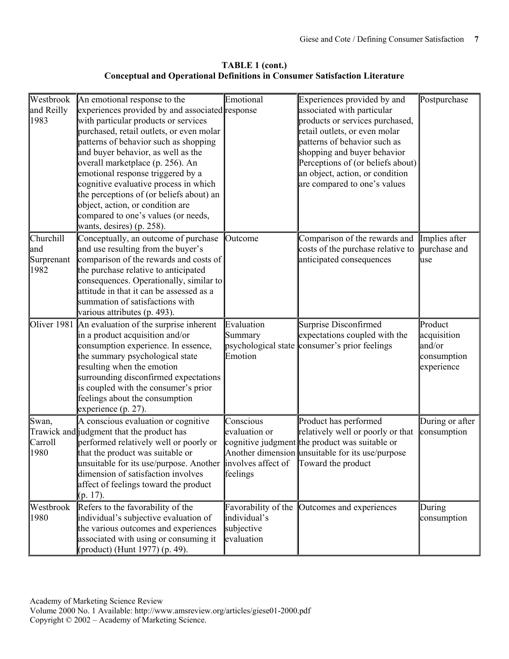**TABLE 1 (cont.) Conceptual and Operational Definitions in Consumer Satisfaction Literature** 

| Westbrook<br>and Reilly<br>1983         | An emotional response to the<br>experiences provided by and associated response<br>with particular products or services<br>purchased, retail outlets, or even molar<br>patterns of behavior such as shopping<br>and buyer behavior, as well as the<br>overall marketplace (p. 256). An<br>emotional response triggered by a<br>cognitive evaluative process in which<br>the perceptions of (or beliefs about) an<br>object, action, or condition are<br>compared to one's values (or needs,<br>wants, desires) (p. 258). | Emotional                                                       | Experiences provided by and<br>associated with particular<br>products or services purchased,<br>retail outlets, or even molar<br>patterns of behavior such as<br>shopping and buyer behavior<br>Perceptions of (or beliefs about)<br>an object, action, or condition<br>are compared to one's values | Postpurchase                                                  |
|-----------------------------------------|--------------------------------------------------------------------------------------------------------------------------------------------------------------------------------------------------------------------------------------------------------------------------------------------------------------------------------------------------------------------------------------------------------------------------------------------------------------------------------------------------------------------------|-----------------------------------------------------------------|------------------------------------------------------------------------------------------------------------------------------------------------------------------------------------------------------------------------------------------------------------------------------------------------------|---------------------------------------------------------------|
| Churchill<br>land<br>Surprenant<br>1982 | Conceptually, an outcome of purchase<br>and use resulting from the buyer's<br>comparison of the rewards and costs of<br>the purchase relative to anticipated<br>consequences. Operationally, similar to<br>attitude in that it can be assessed as a<br>summation of satisfactions with<br>various attributes (p. 493).                                                                                                                                                                                                   | Outcome                                                         | Comparison of the rewards and<br>costs of the purchase relative to<br>anticipated consequences                                                                                                                                                                                                       | Implies after<br>purchase and<br>use                          |
|                                         | Oliver 1981 An evaluation of the surprise inherent<br>in a product acquisition and/or<br>consumption experience. In essence,<br>the summary psychological state<br>resulting when the emotion<br>surrounding disconfirmed expectations<br>is coupled with the consumer's prior<br>feelings about the consumption<br>experience $(p. 27)$ .                                                                                                                                                                               | Evaluation<br>Summary<br>psychological state<br>Emotion         | <b>Surprise Disconfirmed</b><br>expectations coupled with the<br>consumer's prior feelings                                                                                                                                                                                                           | Product<br>acquisition<br>and/or<br>consumption<br>experience |
| Swan,<br>Carroll<br>1980                | A conscious evaluation or cognitive<br>Trawick and judgment that the product has<br>performed relatively well or poorly or<br>that the product was suitable or<br>unsuitable for its use/purpose. Another $\parallel$ involves affect of $\parallel$ Toward the product<br>dimension of satisfaction involves<br>affect of feelings toward the product<br>$(p. 17)$ .                                                                                                                                                    | Conscious<br>evaluation or<br>feelings                          | Product has performed<br>relatively well or poorly or that<br>cognitive judgment the product was suitable or<br>Another dimension unsuitable for its use/purpose                                                                                                                                     | During or after<br>consumption                                |
| Westbrook<br>1980                       | Refers to the favorability of the<br>individual's subjective evaluation of<br>the various outcomes and experiences<br>associated with using or consuming it<br>(product) (Hunt 1977) (p. 49).                                                                                                                                                                                                                                                                                                                            | Favorability of the<br>individual's<br>subjective<br>evaluation | Outcomes and experiences                                                                                                                                                                                                                                                                             | During<br>consumption                                         |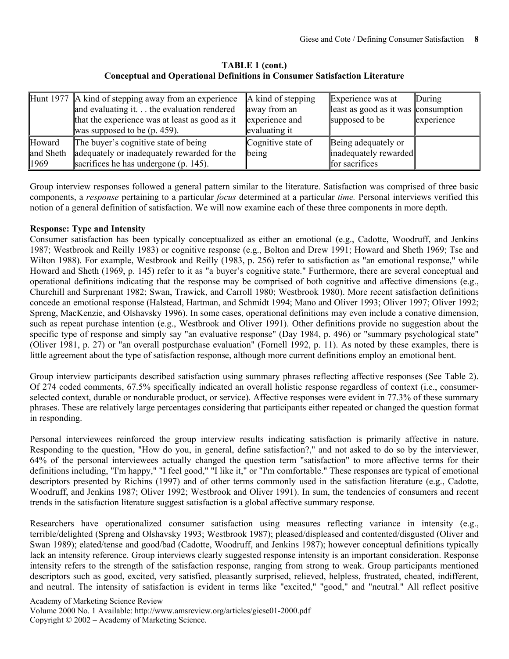**TABLE 1 (cont.) Conceptual and Operational Definitions in Consumer Satisfaction Literature** 

|           | Hunt 1977 A kind of stepping away from an experience<br>and evaluating it. $\ldots$ the evaluation rendered<br>that the experience was at least as good as it | A kind of stepping<br>away from an<br>experience and | Experience was at<br>least as good as it was consumption<br>supposed to be | During<br>experience |
|-----------|---------------------------------------------------------------------------------------------------------------------------------------------------------------|------------------------------------------------------|----------------------------------------------------------------------------|----------------------|
|           | was supposed to be $(p. 459)$ .                                                                                                                               | evaluating it                                        |                                                                            |                      |
| Howard    | The buyer's cognitive state of being                                                                                                                          | Cognitive state of                                   | Being adequately or                                                        |                      |
| and Sheth | adequately or inadequately rewarded for the                                                                                                                   | being                                                | inadequately rewarded                                                      |                      |
| 1969      | sacrifices he has undergone (p. 145).                                                                                                                         |                                                      | for sacrifices                                                             |                      |

Group interview responses followed a general pattern similar to the literature. Satisfaction was comprised of three basic components, a *response* pertaining to a particular *focus* determined at a particular *time.* Personal interviews verified this notion of a general definition of satisfaction. We will now examine each of these three components in more depth.

#### **Response: Type and Intensity**

Consumer satisfaction has been typically conceptualized as either an emotional (e.g., Cadotte, Woodruff, and Jenkins 1987; Westbrook and Reilly 1983) or cognitive response (e.g., Bolton and Drew 1991; Howard and Sheth 1969; Tse and Wilton 1988). For example, Westbrook and Reilly (1983, p. 256) refer to satisfaction as "an emotional response," while Howard and Sheth (1969, p. 145) refer to it as "a buyer's cognitive state." Furthermore, there are several conceptual and operational definitions indicating that the response may be comprised of both cognitive and affective dimensions (e.g., Churchill and Surprenant 1982; Swan, Trawick, and Carroll 1980; Westbrook 1980). More recent satisfaction definitions concede an emotional response (Halstead, Hartman, and Schmidt 1994; Mano and Oliver 1993; Oliver 1997; Oliver 1992; Spreng, MacKenzie, and Olshavsky 1996). In some cases, operational definitions may even include a conative dimension, such as repeat purchase intention (e.g., Westbrook and Oliver 1991). Other definitions provide no suggestion about the specific type of response and simply say "an evaluative response" (Day 1984, p. 496) or "summary psychological state" (Oliver 1981, p. 27) or "an overall postpurchase evaluation" (Fornell 1992, p. 11). As noted by these examples, there is little agreement about the type of satisfaction response, although more current definitions employ an emotional bent.

Group interview participants described satisfaction using summary phrases reflecting affective responses (See Table 2). Of 274 coded comments, 67.5% specifically indicated an overall holistic response regardless of context (i.e., consumerselected context, durable or nondurable product, or service). Affective responses were evident in 77.3% of these summary phrases. These are relatively large percentages considering that participants either repeated or changed the question format in responding.

Personal interviewees reinforced the group interview results indicating satisfaction is primarily affective in nature. Responding to the question, "How do you, in general, define satisfaction?," and not asked to do so by the interviewer, 64% of the personal interviewees actually changed the question term "satisfaction" to more affective terms for their definitions including, "I'm happy," "I feel good," "I like it," or "I'm comfortable." These responses are typical of emotional descriptors presented by Richins (1997) and of other terms commonly used in the satisfaction literature (e.g., Cadotte, Woodruff, and Jenkins 1987; Oliver 1992; Westbrook and Oliver 1991). In sum, the tendencies of consumers and recent trends in the satisfaction literature suggest satisfaction is a global affective summary response.

Researchers have operationalized consumer satisfaction using measures reflecting variance in intensity (e.g., terrible/delighted (Spreng and Olshavsky 1993; Westbrook 1987); pleased/displeased and contented/disgusted (Oliver and Swan 1989); elated/tense and good/bad (Cadotte, Woodruff, and Jenkins 1987); however conceptual definitions typically lack an intensity reference. Group interviews clearly suggested response intensity is an important consideration. Response intensity refers to the strength of the satisfaction response, ranging from strong to weak. Group participants mentioned descriptors such as good, excited, very satisfied, pleasantly surprised, relieved, helpless, frustrated, cheated, indifferent, and neutral. The intensity of satisfaction is evident in terms like "excited," "good," and "neutral." All reflect positive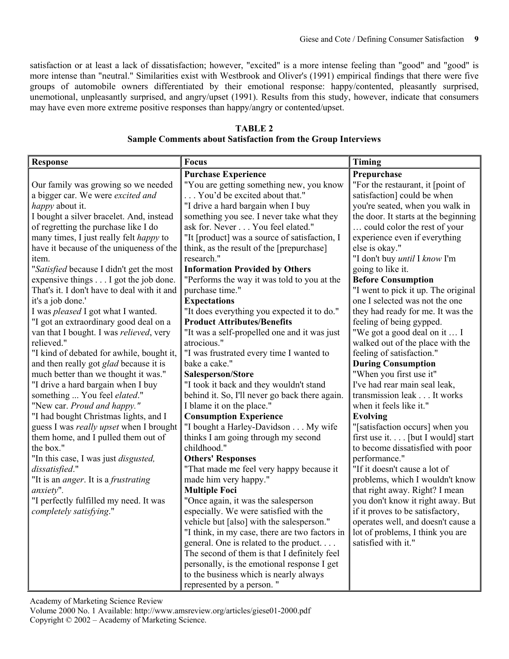satisfaction or at least a lack of dissatisfaction; however, "excited" is a more intense feeling than "good" and "good" is more intense than "neutral." Similarities exist with Westbrook and Oliver's (1991) empirical findings that there were five groups of automobile owners differentiated by their emotional response: happy/contented, pleasantly surprised, unemotional, unpleasantly surprised, and angry/upset (1991). Results from this study, however, indicate that consumers may have even more extreme positive responses than happy/angry or contented/upset.

| <b>TABLE 2</b>                                                      |
|---------------------------------------------------------------------|
| <b>Sample Comments about Satisfaction from the Group Interviews</b> |

| <b>Response</b>                                | Focus                                          | <b>Timing</b>                        |
|------------------------------------------------|------------------------------------------------|--------------------------------------|
|                                                | <b>Purchase Experience</b>                     | Prepurchase                          |
| Our family was growing so we needed            | "You are getting something new, you know       | "For the restaurant, it [point of    |
| a bigger car. We were excited and              | You'd be excited about that."                  | satisfaction] could be when          |
| <i>happy</i> about it.                         | "I drive a hard bargain when I buy             | you're seated, when you walk in      |
| I bought a silver bracelet. And, instead       | something you see. I never take what they      | the door. It starts at the beginning |
| of regretting the purchase like I do           | ask for. Never You feel elated."               | could color the rest of your         |
| many times, I just really felt <i>happy</i> to | "It [product] was a source of satisfaction, I  | experience even if everything        |
| have it because of the uniqueness of the       | think, as the result of the [prepurchase]      | else is okay."                       |
| item.                                          | research."                                     | "I don't buy until I know I'm        |
| "Satisfied because I didn't get the most       | <b>Information Provided by Others</b>          | going to like it.                    |
| expensive things I got the job done.           | "Performs the way it was told to you at the    | <b>Before Consumption</b>            |
| That's it. I don't have to deal with it and    | purchase time."                                | "I went to pick it up. The original  |
| it's a job done.'                              | <b>Expectations</b>                            | one I selected was not the one       |
| I was <i>pleased</i> I got what I wanted.      | "It does everything you expected it to do."    | they had ready for me. It was the    |
| "I got an extraordinary good deal on a         | <b>Product Attributes/Benefits</b>             | feeling of being gypped.             |
| van that I bought. I was relieved, very        | "It was a self-propelled one and it was just   | "We got a good deal on it  I         |
| relieved."                                     | atrocious."                                    | walked out of the place with the     |
| "I kind of debated for awhile, bought it,      | "I was frustrated every time I wanted to       | feeling of satisfaction."            |
| and then really got <i>glad</i> because it is  | bake a cake."                                  | <b>During Consumption</b>            |
| much better than we thought it was."           | Salesperson/Store                              | "When you first use it"              |
| "I drive a hard bargain when I buy             | "I took it back and they wouldn't stand        | I've had rear main seal leak,        |
| something  You feel elated."                   | behind it. So, I'll never go back there again. | transmission leak It works           |
| "New car. Proud and happy."                    | I blame it on the place."                      | when it feels like it."              |
| "I had bought Christmas lights, and I          | <b>Consumption Experience</b>                  | <b>Evolving</b>                      |
| guess I was really upset when I brought        | "I bought a Harley-Davidson My wife            | "[satisfaction occurs] when you      |
| them home, and I pulled them out of            | thinks I am going through my second            | first use it [but I would] start     |
| the box."                                      | childhood."                                    | to become dissatisfied with poor     |
| "In this case, I was just <i>disgusted</i> ,   | <b>Others' Responses</b>                       | performance."                        |
| dissatisfied."                                 | "That made me feel very happy because it       | "If it doesn't cause a lot of        |
| "It is an anger. It is a frustrating           | made him very happy."                          | problems, which I wouldn't know      |
| anxiety".                                      | <b>Multiple Foci</b>                           | that right away. Right? I mean       |
| "I perfectly fulfilled my need. It was         | "Once again, it was the salesperson            | you don't know it right away. But    |
| completely satisfying."                        | especially. We were satisfied with the         | if it proves to be satisfactory,     |
|                                                | vehicle but [also] with the salesperson."      | operates well, and doesn't cause a   |
|                                                | "I think, in my case, there are two factors in | lot of problems, I think you are     |
|                                                | general. One is related to the product         | satisfied with it."                  |
|                                                | The second of them is that I definitely feel   |                                      |
|                                                | personally, is the emotional response I get    |                                      |
|                                                | to the business which is nearly always         |                                      |
|                                                | represented by a person."                      |                                      |

Academy of Marketing Science Review

Volume 2000 No. 1 Available: http://www.amsreview.org/articles/giese01-2000.pdf Copyright © 2002 – Academy of Marketing Science.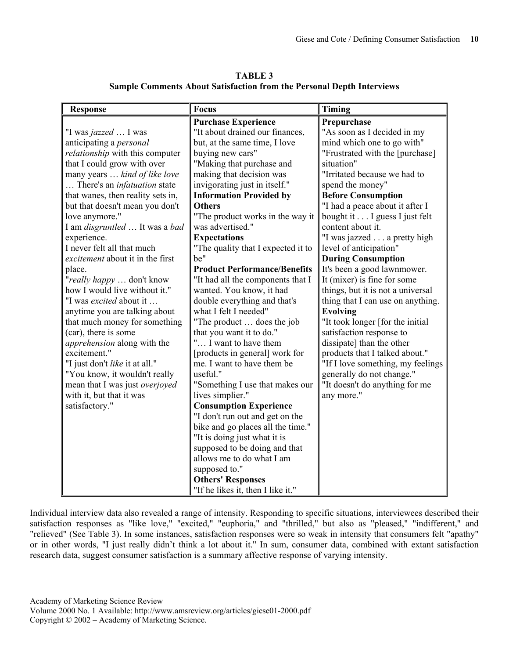| <b>TABLE 3</b>                                                               |
|------------------------------------------------------------------------------|
| <b>Sample Comments About Satisfaction from the Personal Depth Interviews</b> |

| <b>Response</b>                     | <b>Focus</b>                        | <b>Timing</b>                     |
|-------------------------------------|-------------------------------------|-----------------------------------|
|                                     | <b>Purchase Experience</b>          | Prepurchase                       |
| "I was jazzed  I was                | "It about drained our finances,     | "As soon as I decided in my       |
| anticipating a <i>personal</i>      | but, at the same time, I love       | mind which one to go with"        |
| relationship with this computer     | buying new cars"                    | "Frustrated with the [purchase]   |
| that I could grow with over         | "Making that purchase and           | situation"                        |
| many years  kind of like love       | making that decision was            | "Irritated because we had to      |
| There's an <i>infatuation</i> state | invigorating just in itself."       | spend the money"                  |
| that wanes, then reality sets in,   | <b>Information Provided by</b>      | <b>Before Consumption</b>         |
| but that doesn't mean you don't     | <b>Others</b>                       | "I had a peace about it after I   |
| love anymore."                      | "The product works in the way it    | bought it I guess I just felt     |
| I am disgruntled  It was a bad      | was advertised."                    | content about it.                 |
| experience.                         | <b>Expectations</b>                 | "I was jazzed a pretty high       |
| I never felt all that much          | "The quality that I expected it to  | level of anticipation"            |
| excitement about it in the first    | be"                                 | <b>During Consumption</b>         |
| place.                              | <b>Product Performance/Benefits</b> | It's been a good lawnmower.       |
| "really happy  don't know           | "It had all the components that I   | It (mixer) is fine for some       |
| how I would live without it."       | wanted. You know, it had            | things, but it is not a universal |
| "I was excited about it             | double everything and that's        | thing that I can use on anything. |
| anytime you are talking about       | what I felt I needed"               | <b>Evolving</b>                   |
| that much money for something       | "The product  does the job          | "It took longer [for the initial  |
| (car), there is some                | that you want it to do."            | satisfaction response to          |
| apprehension along with the         | " I want to have them               | dissipate] than the other         |
| excitement."                        | [products in general] work for      | products that I talked about."    |
| "I just don't like it at all."      | me. I want to have them be          | "If I love something, my feelings |
| "You know, it wouldn't really       | useful."                            | generally do not change."         |
| mean that I was just overjoyed      | "Something I use that makes our     | "It doesn't do anything for me    |
| with it, but that it was            | lives simplier."                    | any more."                        |
| satisfactory."                      | <b>Consumption Experience</b>       |                                   |
|                                     | "I don't run out and get on the     |                                   |
|                                     | bike and go places all the time."   |                                   |
|                                     | "It is doing just what it is        |                                   |
|                                     | supposed to be doing and that       |                                   |
|                                     | allows me to do what I am           |                                   |
|                                     | supposed to."                       |                                   |
|                                     | <b>Others' Responses</b>            |                                   |
|                                     | "If he likes it, then I like it."   |                                   |

Individual interview data also revealed a range of intensity. Responding to specific situations, interviewees described their satisfaction responses as "like love," "excited," "euphoria," and "thrilled," but also as "pleased," "indifferent," and "relieved" (See Table 3). In some instances, satisfaction responses were so weak in intensity that consumers felt "apathy" or in other words, "I just really didn't think a lot about it." In sum, consumer data, combined with extant satisfaction research data, suggest consumer satisfaction is a summary affective response of varying intensity.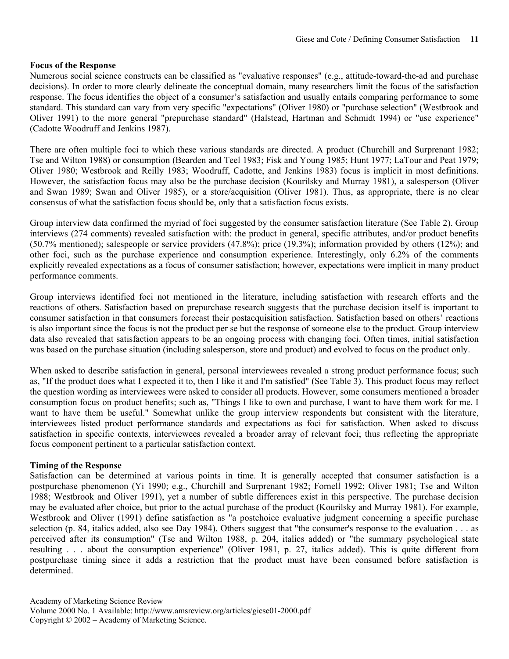#### **Focus of the Response**

Numerous social science constructs can be classified as "evaluative responses" (e.g., attitude-toward-the-ad and purchase decisions). In order to more clearly delineate the conceptual domain, many researchers limit the focus of the satisfaction response. The focus identifies the object of a consumer's satisfaction and usually entails comparing performance to some standard. This standard can vary from very specific "expectations" (Oliver 1980) or "purchase selection" (Westbrook and Oliver 1991) to the more general "prepurchase standard" (Halstead, Hartman and Schmidt 1994) or "use experience" (Cadotte Woodruff and Jenkins 1987).

There are often multiple foci to which these various standards are directed. A product (Churchill and Surprenant 1982; Tse and Wilton 1988) or consumption (Bearden and Teel 1983; Fisk and Young 1985; Hunt 1977; LaTour and Peat 1979; Oliver 1980; Westbrook and Reilly 1983; Woodruff, Cadotte, and Jenkins 1983) focus is implicit in most definitions. However, the satisfaction focus may also be the purchase decision (Kourilsky and Murray 1981), a salesperson (Oliver and Swan 1989; Swan and Oliver 1985), or a store/acquisition (Oliver 1981). Thus, as appropriate, there is no clear consensus of what the satisfaction focus should be, only that a satisfaction focus exists.

Group interview data confirmed the myriad of foci suggested by the consumer satisfaction literature (See Table 2). Group interviews (274 comments) revealed satisfaction with: the product in general, specific attributes, and/or product benefits (50.7% mentioned); salespeople or service providers (47.8%); price (19.3%); information provided by others (12%); and other foci, such as the purchase experience and consumption experience. Interestingly, only 6.2% of the comments explicitly revealed expectations as a focus of consumer satisfaction; however, expectations were implicit in many product performance comments.

Group interviews identified foci not mentioned in the literature, including satisfaction with research efforts and the reactions of others. Satisfaction based on prepurchase research suggests that the purchase decision itself is important to consumer satisfaction in that consumers forecast their postacquisition satisfaction. Satisfaction based on others' reactions is also important since the focus is not the product per se but the response of someone else to the product. Group interview data also revealed that satisfaction appears to be an ongoing process with changing foci. Often times, initial satisfaction was based on the purchase situation (including salesperson, store and product) and evolved to focus on the product only.

When asked to describe satisfaction in general, personal interviewees revealed a strong product performance focus; such as, "If the product does what I expected it to, then I like it and I'm satisfied" (See Table 3). This product focus may reflect the question wording as interviewees were asked to consider all products. However, some consumers mentioned a broader consumption focus on product benefits; such as, "Things I like to own and purchase, I want to have them work for me. I want to have them be useful." Somewhat unlike the group interview respondents but consistent with the literature, interviewees listed product performance standards and expectations as foci for satisfaction. When asked to discuss satisfaction in specific contexts, interviewees revealed a broader array of relevant foci; thus reflecting the appropriate focus component pertinent to a particular satisfaction context.

#### **Timing of the Response**

Satisfaction can be determined at various points in time. It is generally accepted that consumer satisfaction is a postpurchase phenomenon (Yi 1990; e.g., Churchill and Surprenant 1982; Fornell 1992; Oliver 1981; Tse and Wilton 1988; Westbrook and Oliver 1991), yet a number of subtle differences exist in this perspective. The purchase decision may be evaluated after choice, but prior to the actual purchase of the product (Kourilsky and Murray 1981). For example, Westbrook and Oliver (1991) define satisfaction as "a postchoice evaluative judgment concerning a specific purchase selection (p. 84, italics added, also see Day 1984). Others suggest that "the consumer's response to the evaluation . . . as perceived after its consumption" (Tse and Wilton 1988, p. 204, italics added) or "the summary psychological state resulting . . . about the consumption experience" (Oliver 1981, p. 27, italics added). This is quite different from postpurchase timing since it adds a restriction that the product must have been consumed before satisfaction is determined.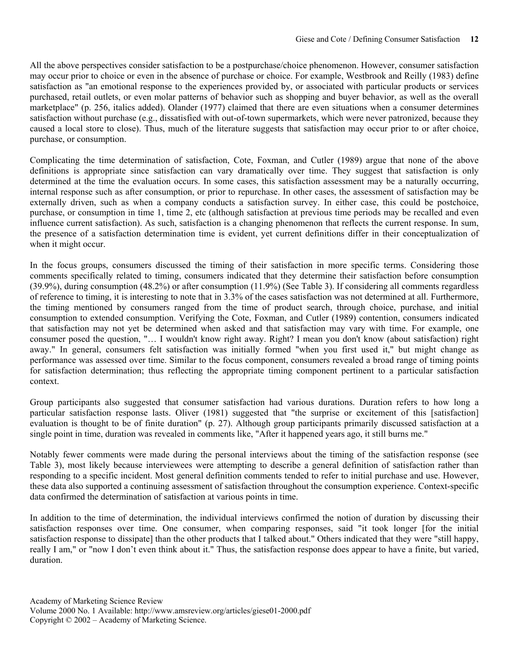All the above perspectives consider satisfaction to be a postpurchase/choice phenomenon. However, consumer satisfaction may occur prior to choice or even in the absence of purchase or choice. For example, Westbrook and Reilly (1983) define satisfaction as "an emotional response to the experiences provided by, or associated with particular products or services purchased, retail outlets, or even molar patterns of behavior such as shopping and buyer behavior, as well as the overall marketplace" (p. 256, italics added). Olander (1977) claimed that there are even situations when a consumer determines satisfaction without purchase (e.g., dissatisfied with out-of-town supermarkets, which were never patronized, because they caused a local store to close). Thus, much of the literature suggests that satisfaction may occur prior to or after choice, purchase, or consumption.

Complicating the time determination of satisfaction, Cote, Foxman, and Cutler (1989) argue that none of the above definitions is appropriate since satisfaction can vary dramatically over time. They suggest that satisfaction is only determined at the time the evaluation occurs. In some cases, this satisfaction assessment may be a naturally occurring, internal response such as after consumption, or prior to repurchase. In other cases, the assessment of satisfaction may be externally driven, such as when a company conducts a satisfaction survey. In either case, this could be postchoice, purchase, or consumption in time 1, time 2, etc (although satisfaction at previous time periods may be recalled and even influence current satisfaction). As such, satisfaction is a changing phenomenon that reflects the current response. In sum, the presence of a satisfaction determination time is evident, yet current definitions differ in their conceptualization of when it might occur.

In the focus groups, consumers discussed the timing of their satisfaction in more specific terms. Considering those comments specifically related to timing, consumers indicated that they determine their satisfaction before consumption (39.9%), during consumption (48.2%) or after consumption (11.9%) (See Table 3). If considering all comments regardless of reference to timing, it is interesting to note that in 3.3% of the cases satisfaction was not determined at all. Furthermore, the timing mentioned by consumers ranged from the time of product search, through choice, purchase, and initial consumption to extended consumption. Verifying the Cote, Foxman, and Cutler (1989) contention, consumers indicated that satisfaction may not yet be determined when asked and that satisfaction may vary with time. For example, one consumer posed the question, "… I wouldn't know right away. Right? I mean you don't know (about satisfaction) right away." In general, consumers felt satisfaction was initially formed "when you first used it," but might change as performance was assessed over time. Similar to the focus component, consumers revealed a broad range of timing points for satisfaction determination; thus reflecting the appropriate timing component pertinent to a particular satisfaction context.

Group participants also suggested that consumer satisfaction had various durations. Duration refers to how long a particular satisfaction response lasts. Oliver (1981) suggested that "the surprise or excitement of this [satisfaction] evaluation is thought to be of finite duration" (p. 27). Although group participants primarily discussed satisfaction at a single point in time, duration was revealed in comments like, "After it happened years ago, it still burns me."

Notably fewer comments were made during the personal interviews about the timing of the satisfaction response (see Table 3), most likely because interviewees were attempting to describe a general definition of satisfaction rather than responding to a specific incident. Most general definition comments tended to refer to initial purchase and use. However, these data also supported a continuing assessment of satisfaction throughout the consumption experience. Context-specific data confirmed the determination of satisfaction at various points in time.

In addition to the time of determination, the individual interviews confirmed the notion of duration by discussing their satisfaction responses over time. One consumer, when comparing responses, said "it took longer [for the initial satisfaction response to dissipate] than the other products that I talked about." Others indicated that they were "still happy, really I am," or "now I don't even think about it." Thus, the satisfaction response does appear to have a finite, but varied, duration.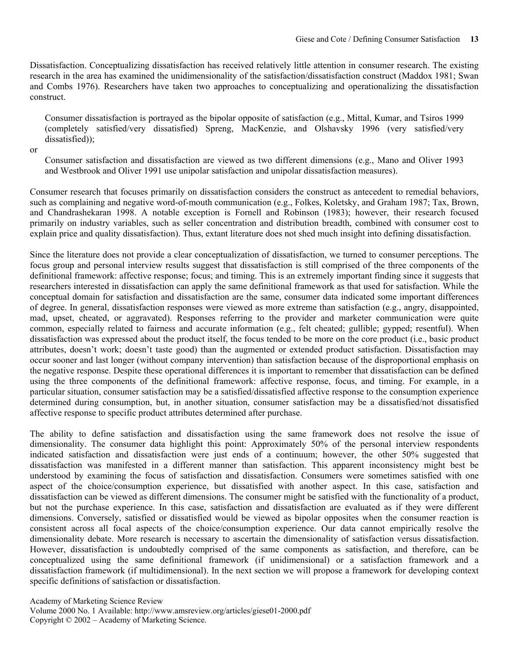Dissatisfaction. Conceptualizing dissatisfaction has received relatively little attention in consumer research. The existing research in the area has examined the unidimensionality of the satisfaction/dissatisfaction construct (Maddox 1981; Swan and Combs 1976). Researchers have taken two approaches to conceptualizing and operationalizing the dissatisfaction construct.

Consumer dissatisfaction is portrayed as the bipolar opposite of satisfaction (e.g., Mittal, Kumar, and Tsiros 1999 (completely satisfied/very dissatisfied) Spreng, MacKenzie, and Olshavsky 1996 (very satisfied/very dissatisfied));

or

Consumer satisfaction and dissatisfaction are viewed as two different dimensions (e.g., Mano and Oliver 1993 and Westbrook and Oliver 1991 use unipolar satisfaction and unipolar dissatisfaction measures).

Consumer research that focuses primarily on dissatisfaction considers the construct as antecedent to remedial behaviors, such as complaining and negative word-of-mouth communication (e.g., Folkes, Koletsky, and Graham 1987; Tax, Brown, and Chandrashekaran 1998. A notable exception is Fornell and Robinson (1983); however, their research focused primarily on industry variables, such as seller concentration and distribution breadth, combined with consumer cost to explain price and quality dissatisfaction). Thus, extant literature does not shed much insight into defining dissatisfaction.

Since the literature does not provide a clear conceptualization of dissatisfaction, we turned to consumer perceptions. The focus group and personal interview results suggest that dissatisfaction is still comprised of the three components of the definitional framework: affective response; focus; and timing. This is an extremely important finding since it suggests that researchers interested in dissatisfaction can apply the same definitional framework as that used for satisfaction. While the conceptual domain for satisfaction and dissatisfaction are the same, consumer data indicated some important differences of degree. In general, dissatisfaction responses were viewed as more extreme than satisfaction (e.g., angry, disappointed, mad, upset, cheated, or aggravated). Responses referring to the provider and marketer communication were quite common, especially related to fairness and accurate information (e.g., felt cheated; gullible; gypped; resentful). When dissatisfaction was expressed about the product itself, the focus tended to be more on the core product (i.e., basic product attributes, doesn't work; doesn't taste good) than the augmented or extended product satisfaction. Dissatisfaction may occur sooner and last longer (without company intervention) than satisfaction because of the disproportional emphasis on the negative response. Despite these operational differences it is important to remember that dissatisfaction can be defined using the three components of the definitional framework: affective response, focus, and timing. For example, in a particular situation, consumer satisfaction may be a satisfied/dissatisfied affective response to the consumption experience determined during consumption, but, in another situation, consumer satisfaction may be a dissatisfied/not dissatisfied affective response to specific product attributes determined after purchase.

The ability to define satisfaction and dissatisfaction using the same framework does not resolve the issue of dimensionality. The consumer data highlight this point: Approximately 50% of the personal interview respondents indicated satisfaction and dissatisfaction were just ends of a continuum; however, the other 50% suggested that dissatisfaction was manifested in a different manner than satisfaction. This apparent inconsistency might best be understood by examining the focus of satisfaction and dissatisfaction. Consumers were sometimes satisfied with one aspect of the choice/consumption experience, but dissatisfied with another aspect. In this case, satisfaction and dissatisfaction can be viewed as different dimensions. The consumer might be satisfied with the functionality of a product, but not the purchase experience. In this case, satisfaction and dissatisfaction are evaluated as if they were different dimensions. Conversely, satisfied or dissatisfied would be viewed as bipolar opposites when the consumer reaction is consistent across all focal aspects of the choice/consumption experience. Our data cannot empirically resolve the dimensionality debate. More research is necessary to ascertain the dimensionality of satisfaction versus dissatisfaction. However, dissatisfaction is undoubtedly comprised of the same components as satisfaction, and therefore, can be conceptualized using the same definitional framework (if unidimensional) or a satisfaction framework and a dissatisfaction framework (if multidimensional). In the next section we will propose a framework for developing context specific definitions of satisfaction or dissatisfaction.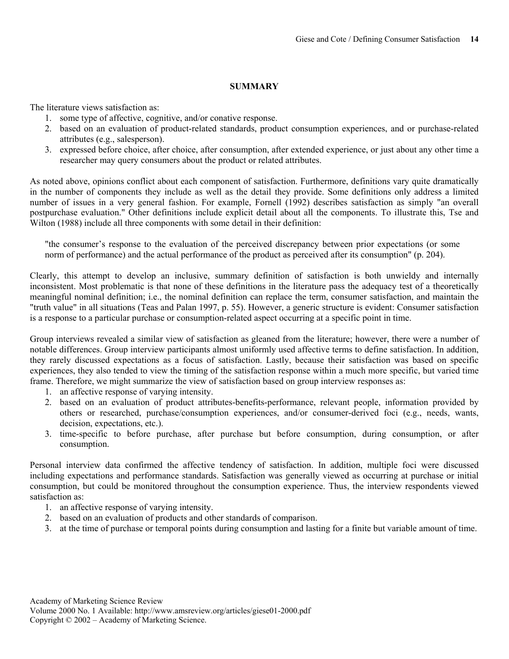#### **SUMMARY**

The literature views satisfaction as:

- 1. some type of affective, cognitive, and/or conative response.
- 2. based on an evaluation of product-related standards, product consumption experiences, and or purchase-related attributes (e.g., salesperson).
- 3. expressed before choice, after choice, after consumption, after extended experience, or just about any other time a researcher may query consumers about the product or related attributes.

As noted above, opinions conflict about each component of satisfaction. Furthermore, definitions vary quite dramatically in the number of components they include as well as the detail they provide. Some definitions only address a limited number of issues in a very general fashion. For example, Fornell (1992) describes satisfaction as simply "an overall postpurchase evaluation." Other definitions include explicit detail about all the components. To illustrate this, Tse and Wilton (1988) include all three components with some detail in their definition:

"the consumer's response to the evaluation of the perceived discrepancy between prior expectations (or some norm of performance) and the actual performance of the product as perceived after its consumption" (p. 204).

Clearly, this attempt to develop an inclusive, summary definition of satisfaction is both unwieldy and internally inconsistent. Most problematic is that none of these definitions in the literature pass the adequacy test of a theoretically meaningful nominal definition; i.e., the nominal definition can replace the term, consumer satisfaction, and maintain the "truth value" in all situations (Teas and Palan 1997, p. 55). However, a generic structure is evident: Consumer satisfaction is a response to a particular purchase or consumption-related aspect occurring at a specific point in time.

Group interviews revealed a similar view of satisfaction as gleaned from the literature; however, there were a number of notable differences. Group interview participants almost uniformly used affective terms to define satisfaction. In addition, they rarely discussed expectations as a focus of satisfaction. Lastly, because their satisfaction was based on specific experiences, they also tended to view the timing of the satisfaction response within a much more specific, but varied time frame. Therefore, we might summarize the view of satisfaction based on group interview responses as:

- 1. an affective response of varying intensity.
- 2. based on an evaluation of product attributes-benefits-performance, relevant people, information provided by others or researched, purchase/consumption experiences, and/or consumer-derived foci (e.g., needs, wants, decision, expectations, etc.).
- 3. time-specific to before purchase, after purchase but before consumption, during consumption, or after consumption.

Personal interview data confirmed the affective tendency of satisfaction. In addition, multiple foci were discussed including expectations and performance standards. Satisfaction was generally viewed as occurring at purchase or initial consumption, but could be monitored throughout the consumption experience. Thus, the interview respondents viewed satisfaction as:

- 1. an affective response of varying intensity.
- 2. based on an evaluation of products and other standards of comparison.
- 3. at the time of purchase or temporal points during consumption and lasting for a finite but variable amount of time.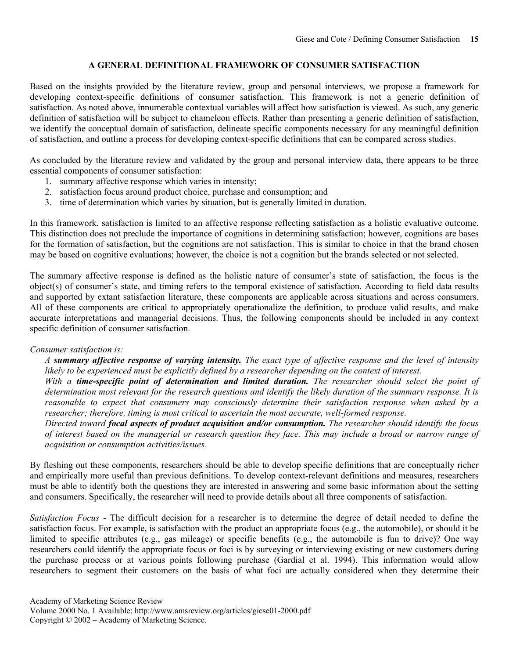# **A GENERAL DEFINITIONAL FRAMEWORK OF CONSUMER SATISFACTION**

Based on the insights provided by the literature review, group and personal interviews, we propose a framework for developing context-specific definitions of consumer satisfaction. This framework is not a generic definition of satisfaction. As noted above, innumerable contextual variables will affect how satisfaction is viewed. As such, any generic definition of satisfaction will be subject to chameleon effects. Rather than presenting a generic definition of satisfaction, we identify the conceptual domain of satisfaction, delineate specific components necessary for any meaningful definition of satisfaction, and outline a process for developing context-specific definitions that can be compared across studies.

As concluded by the literature review and validated by the group and personal interview data, there appears to be three essential components of consumer satisfaction:

- 1. summary affective response which varies in intensity;
- 2. satisfaction focus around product choice, purchase and consumption; and
- 3. time of determination which varies by situation, but is generally limited in duration.

In this framework, satisfaction is limited to an affective response reflecting satisfaction as a holistic evaluative outcome. This distinction does not preclude the importance of cognitions in determining satisfaction; however, cognitions are bases for the formation of satisfaction, but the cognitions are not satisfaction. This is similar to choice in that the brand chosen may be based on cognitive evaluations; however, the choice is not a cognition but the brands selected or not selected.

The summary affective response is defined as the holistic nature of consumer's state of satisfaction, the focus is the object(s) of consumer's state, and timing refers to the temporal existence of satisfaction. According to field data results and supported by extant satisfaction literature, these components are applicable across situations and across consumers. All of these components are critical to appropriately operationalize the definition, to produce valid results, and make accurate interpretations and managerial decisions. Thus, the following components should be included in any context specific definition of consumer satisfaction.

#### *Consumer satisfaction is:*

*A summary affective response of varying intensity. The exact type of affective response and the level of intensity likely to be experienced must be explicitly defined by a researcher depending on the context of interest.* 

*With a time-specific point of determination and limited duration. The researcher should select the point of determination most relevant for the research questions and identify the likely duration of the summary response. It is reasonable to expect that consumers may consciously determine their satisfaction response when asked by a researcher; therefore, timing is most critical to ascertain the most accurate, well-formed response.* 

*Directed toward focal aspects of product acquisition and/or consumption. The researcher should identify the focus of interest based on the managerial or research question they face. This may include a broad or narrow range of acquisition or consumption activities/issues.* 

By fleshing out these components, researchers should be able to develop specific definitions that are conceptually richer and empirically more useful than previous definitions. To develop context-relevant definitions and measures, researchers must be able to identify both the questions they are interested in answering and some basic information about the setting and consumers. Specifically, the researcher will need to provide details about all three components of satisfaction.

*Satisfaction Focus* - The difficult decision for a researcher is to determine the degree of detail needed to define the satisfaction focus. For example, is satisfaction with the product an appropriate focus (e.g., the automobile), or should it be limited to specific attributes (e.g., gas mileage) or specific benefits (e.g., the automobile is fun to drive)? One way researchers could identify the appropriate focus or foci is by surveying or interviewing existing or new customers during the purchase process or at various points following purchase (Gardial et al. 1994). This information would allow researchers to segment their customers on the basis of what foci are actually considered when they determine their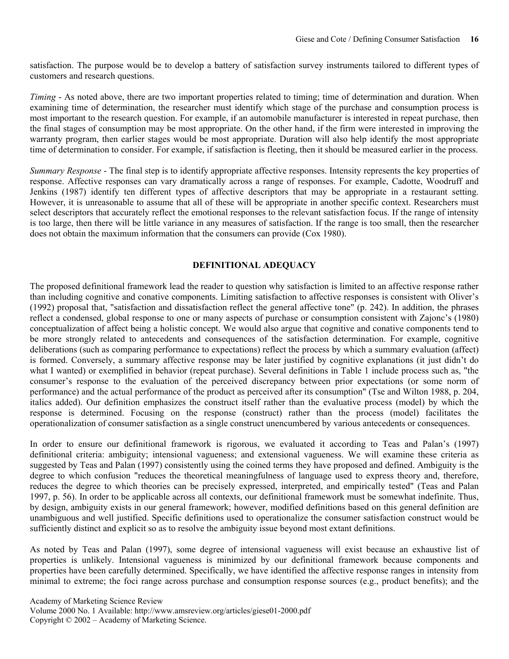satisfaction. The purpose would be to develop a battery of satisfaction survey instruments tailored to different types of customers and research questions.

*Timing* - As noted above, there are two important properties related to timing; time of determination and duration. When examining time of determination, the researcher must identify which stage of the purchase and consumption process is most important to the research question. For example, if an automobile manufacturer is interested in repeat purchase, then the final stages of consumption may be most appropriate. On the other hand, if the firm were interested in improving the warranty program, then earlier stages would be most appropriate. Duration will also help identify the most appropriate time of determination to consider. For example, if satisfaction is fleeting, then it should be measured earlier in the process.

*Summary Response* - The final step is to identify appropriate affective responses. Intensity represents the key properties of response. Affective responses can vary dramatically across a range of responses. For example, Cadotte, Woodruff and Jenkins (1987) identify ten different types of affective descriptors that may be appropriate in a restaurant setting. However, it is unreasonable to assume that all of these will be appropriate in another specific context. Researchers must select descriptors that accurately reflect the emotional responses to the relevant satisfaction focus. If the range of intensity is too large, then there will be little variance in any measures of satisfaction. If the range is too small, then the researcher does not obtain the maximum information that the consumers can provide (Cox 1980).

### **DEFINITIONAL ADEQUACY**

The proposed definitional framework lead the reader to question why satisfaction is limited to an affective response rather than including cognitive and conative components. Limiting satisfaction to affective responses is consistent with Oliver's (1992) proposal that, "satisfaction and dissatisfaction reflect the general affective tone" (p. 242). In addition, the phrases reflect a condensed, global response to one or many aspects of purchase or consumption consistent with Zajonc's (1980) conceptualization of affect being a holistic concept. We would also argue that cognitive and conative components tend to be more strongly related to antecedents and consequences of the satisfaction determination. For example, cognitive deliberations (such as comparing performance to expectations) reflect the process by which a summary evaluation (affect) is formed. Conversely, a summary affective response may be later justified by cognitive explanations (it just didn't do what I wanted) or exemplified in behavior (repeat purchase). Several definitions in Table 1 include process such as, "the consumer's response to the evaluation of the perceived discrepancy between prior expectations (or some norm of performance) and the actual performance of the product as perceived after its consumption" (Tse and Wilton 1988, p. 204, italics added). Our definition emphasizes the construct itself rather than the evaluative process (model) by which the response is determined. Focusing on the response (construct) rather than the process (model) facilitates the operationalization of consumer satisfaction as a single construct unencumbered by various antecedents or consequences.

In order to ensure our definitional framework is rigorous, we evaluated it according to Teas and Palan's (1997) definitional criteria: ambiguity; intensional vagueness; and extensional vagueness. We will examine these criteria as suggested by Teas and Palan (1997) consistently using the coined terms they have proposed and defined. Ambiguity is the degree to which confusion "reduces the theoretical meaningfulness of language used to express theory and, therefore, reduces the degree to which theories can be precisely expressed, interpreted, and empirically tested" (Teas and Palan 1997, p. 56). In order to be applicable across all contexts, our definitional framework must be somewhat indefinite. Thus, by design, ambiguity exists in our general framework; however, modified definitions based on this general definition are unambiguous and well justified. Specific definitions used to operationalize the consumer satisfaction construct would be sufficiently distinct and explicit so as to resolve the ambiguity issue beyond most extant definitions.

As noted by Teas and Palan (1997), some degree of intensional vagueness will exist because an exhaustive list of properties is unlikely. Intensional vagueness is minimized by our definitional framework because components and properties have been carefully determined. Specifically, we have identified the affective response ranges in intensity from minimal to extreme; the foci range across purchase and consumption response sources (e.g., product benefits); and the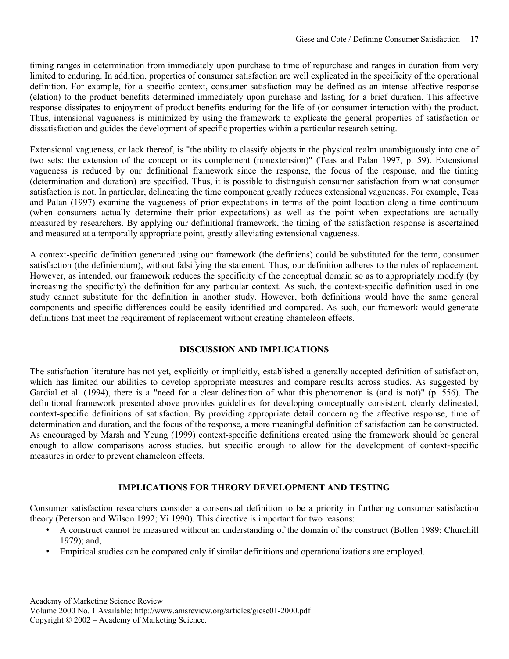timing ranges in determination from immediately upon purchase to time of repurchase and ranges in duration from very limited to enduring. In addition, properties of consumer satisfaction are well explicated in the specificity of the operational definition. For example, for a specific context, consumer satisfaction may be defined as an intense affective response (elation) to the product benefits determined immediately upon purchase and lasting for a brief duration. This affective response dissipates to enjoyment of product benefits enduring for the life of (or consumer interaction with) the product. Thus, intensional vagueness is minimized by using the framework to explicate the general properties of satisfaction or dissatisfaction and guides the development of specific properties within a particular research setting.

Extensional vagueness, or lack thereof, is "the ability to classify objects in the physical realm unambiguously into one of two sets: the extension of the concept or its complement (nonextension)" (Teas and Palan 1997, p. 59). Extensional vagueness is reduced by our definitional framework since the response, the focus of the response, and the timing (determination and duration) are specified. Thus, it is possible to distinguish consumer satisfaction from what consumer satisfaction is not. In particular, delineating the time component greatly reduces extensional vagueness. For example, Teas and Palan (1997) examine the vagueness of prior expectations in terms of the point location along a time continuum (when consumers actually determine their prior expectations) as well as the point when expectations are actually measured by researchers. By applying our definitional framework, the timing of the satisfaction response is ascertained and measured at a temporally appropriate point, greatly alleviating extensional vagueness.

A context-specific definition generated using our framework (the definiens) could be substituted for the term, consumer satisfaction (the definiendum), without falsifying the statement. Thus, our definition adheres to the rules of replacement. However, as intended, our framework reduces the specificity of the conceptual domain so as to appropriately modify (by increasing the specificity) the definition for any particular context. As such, the context-specific definition used in one study cannot substitute for the definition in another study. However, both definitions would have the same general components and specific differences could be easily identified and compared. As such, our framework would generate definitions that meet the requirement of replacement without creating chameleon effects.

#### **DISCUSSION AND IMPLICATIONS**

The satisfaction literature has not yet, explicitly or implicitly, established a generally accepted definition of satisfaction, which has limited our abilities to develop appropriate measures and compare results across studies. As suggested by Gardial et al. (1994), there is a "need for a clear delineation of what this phenomenon is (and is not)" (p. 556). The definitional framework presented above provides guidelines for developing conceptually consistent, clearly delineated, context-specific definitions of satisfaction. By providing appropriate detail concerning the affective response, time of determination and duration, and the focus of the response, a more meaningful definition of satisfaction can be constructed. As encouraged by Marsh and Yeung (1999) context-specific definitions created using the framework should be general enough to allow comparisons across studies, but specific enough to allow for the development of context-specific measures in order to prevent chameleon effects.

# **IMPLICATIONS FOR THEORY DEVELOPMENT AND TESTING**

Consumer satisfaction researchers consider a consensual definition to be a priority in furthering consumer satisfaction theory (Peterson and Wilson 1992; Yi 1990). This directive is important for two reasons:

- A construct cannot be measured without an understanding of the domain of the construct (Bollen 1989; Churchill 1979); and,
- Empirical studies can be compared only if similar definitions and operationalizations are employed.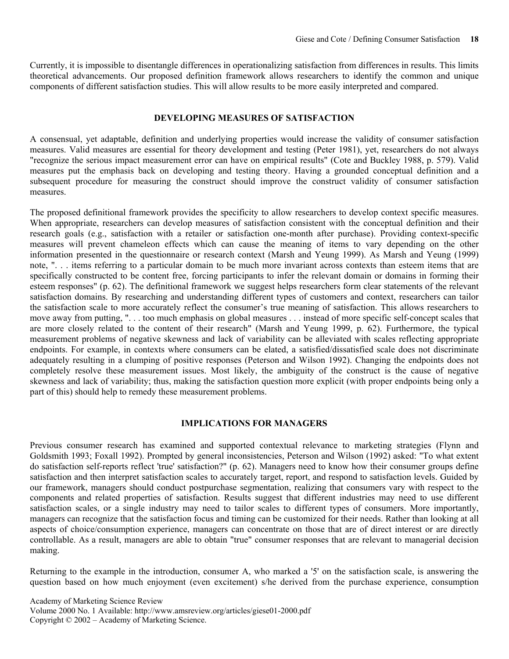Currently, it is impossible to disentangle differences in operationalizing satisfaction from differences in results. This limits theoretical advancements. Our proposed definition framework allows researchers to identify the common and unique components of different satisfaction studies. This will allow results to be more easily interpreted and compared.

#### **DEVELOPING MEASURES OF SATISFACTION**

A consensual, yet adaptable, definition and underlying properties would increase the validity of consumer satisfaction measures. Valid measures are essential for theory development and testing (Peter 1981), yet, researchers do not always "recognize the serious impact measurement error can have on empirical results" (Cote and Buckley 1988, p. 579). Valid measures put the emphasis back on developing and testing theory. Having a grounded conceptual definition and a subsequent procedure for measuring the construct should improve the construct validity of consumer satisfaction measures.

The proposed definitional framework provides the specificity to allow researchers to develop context specific measures. When appropriate, researchers can develop measures of satisfaction consistent with the conceptual definition and their research goals (e.g., satisfaction with a retailer or satisfaction one-month after purchase). Providing context-specific measures will prevent chameleon effects which can cause the meaning of items to vary depending on the other information presented in the questionnaire or research context (Marsh and Yeung 1999). As Marsh and Yeung (1999) note, ". . . items referring to a particular domain to be much more invariant across contexts than esteem items that are specifically constructed to be content free, forcing participants to infer the relevant domain or domains in forming their esteem responses" (p. 62). The definitional framework we suggest helps researchers form clear statements of the relevant satisfaction domains. By researching and understanding different types of customers and context, researchers can tailor the satisfaction scale to more accurately reflect the consumer's true meaning of satisfaction. This allows researchers to move away from putting, ". . . too much emphasis on global measures . . . instead of more specific self-concept scales that are more closely related to the content of their research" (Marsh and Yeung 1999, p. 62). Furthermore, the typical measurement problems of negative skewness and lack of variability can be alleviated with scales reflecting appropriate endpoints. For example, in contexts where consumers can be elated, a satisfied/dissatisfied scale does not discriminate adequately resulting in a clumping of positive responses (Peterson and Wilson 1992). Changing the endpoints does not completely resolve these measurement issues. Most likely, the ambiguity of the construct is the cause of negative skewness and lack of variability; thus, making the satisfaction question more explicit (with proper endpoints being only a part of this) should help to remedy these measurement problems.

#### **IMPLICATIONS FOR MANAGERS**

Previous consumer research has examined and supported contextual relevance to marketing strategies (Flynn and Goldsmith 1993; Foxall 1992). Prompted by general inconsistencies, Peterson and Wilson (1992) asked: "To what extent do satisfaction self-reports reflect 'true' satisfaction?" (p. 62). Managers need to know how their consumer groups define satisfaction and then interpret satisfaction scales to accurately target, report, and respond to satisfaction levels. Guided by our framework, managers should conduct postpurchase segmentation, realizing that consumers vary with respect to the components and related properties of satisfaction. Results suggest that different industries may need to use different satisfaction scales, or a single industry may need to tailor scales to different types of consumers. More importantly, managers can recognize that the satisfaction focus and timing can be customized for their needs. Rather than looking at all aspects of choice/consumption experience, managers can concentrate on those that are of direct interest or are directly controllable. As a result, managers are able to obtain "true" consumer responses that are relevant to managerial decision making.

Returning to the example in the introduction, consumer A, who marked a '5' on the satisfaction scale, is answering the question based on how much enjoyment (even excitement) s/he derived from the purchase experience, consumption

Academy of Marketing Science Review Volume 2000 No. 1 Available: http://www.amsreview.org/articles/giese01-2000.pdf Copyright © 2002 – Academy of Marketing Science.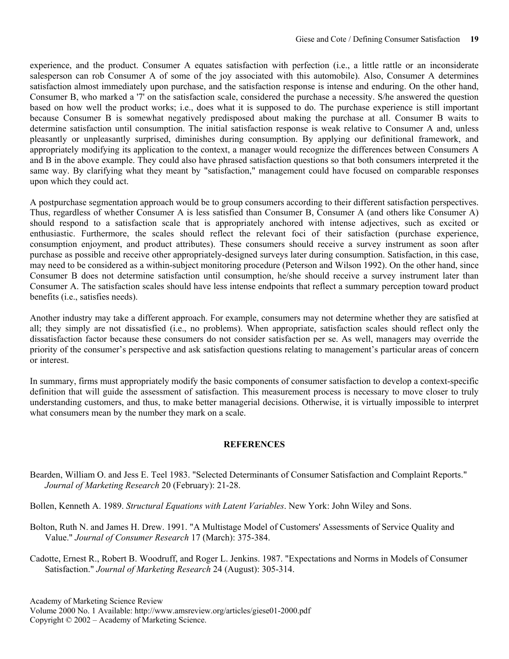experience, and the product. Consumer A equates satisfaction with perfection (i.e., a little rattle or an inconsiderate salesperson can rob Consumer A of some of the joy associated with this automobile). Also, Consumer A determines satisfaction almost immediately upon purchase, and the satisfaction response is intense and enduring. On the other hand, Consumer B, who marked a '7' on the satisfaction scale, considered the purchase a necessity. S/he answered the question based on how well the product works; i.e., does what it is supposed to do. The purchase experience is still important because Consumer B is somewhat negatively predisposed about making the purchase at all. Consumer B waits to determine satisfaction until consumption. The initial satisfaction response is weak relative to Consumer A and, unless pleasantly or unpleasantly surprised, diminishes during consumption. By applying our definitional framework, and appropriately modifying its application to the context, a manager would recognize the differences between Consumers A and B in the above example. They could also have phrased satisfaction questions so that both consumers interpreted it the same way. By clarifying what they meant by "satisfaction," management could have focused on comparable responses upon which they could act.

A postpurchase segmentation approach would be to group consumers according to their different satisfaction perspectives. Thus, regardless of whether Consumer A is less satisfied than Consumer B, Consumer A (and others like Consumer A) should respond to a satisfaction scale that is appropriately anchored with intense adjectives, such as excited or enthusiastic. Furthermore, the scales should reflect the relevant foci of their satisfaction (purchase experience, consumption enjoyment, and product attributes). These consumers should receive a survey instrument as soon after purchase as possible and receive other appropriately-designed surveys later during consumption. Satisfaction, in this case, may need to be considered as a within-subject monitoring procedure (Peterson and Wilson 1992). On the other hand, since Consumer B does not determine satisfaction until consumption, he/she should receive a survey instrument later than Consumer A. The satisfaction scales should have less intense endpoints that reflect a summary perception toward product benefits (i.e., satisfies needs).

Another industry may take a different approach. For example, consumers may not determine whether they are satisfied at all; they simply are not dissatisfied (i.e., no problems). When appropriate, satisfaction scales should reflect only the dissatisfaction factor because these consumers do not consider satisfaction per se. As well, managers may override the priority of the consumer's perspective and ask satisfaction questions relating to management's particular areas of concern or interest.

In summary, firms must appropriately modify the basic components of consumer satisfaction to develop a context-specific definition that will guide the assessment of satisfaction. This measurement process is necessary to move closer to truly understanding customers, and thus, to make better managerial decisions. Otherwise, it is virtually impossible to interpret what consumers mean by the number they mark on a scale.

#### **REFERENCES**

Bearden, William O. and Jess E. Teel 1983. "Selected Determinants of Consumer Satisfaction and Complaint Reports." *Journal of Marketing Research* 20 (February): 21-28.

Bollen, Kenneth A. 1989. *Structural Equations with Latent Variables*. New York: John Wiley and Sons.

Bolton, Ruth N. and James H. Drew. 1991. "A Multistage Model of Customers' Assessments of Service Quality and Value." *Journal of Consumer Research* 17 (March): 375-384.

Cadotte, Ernest R., Robert B. Woodruff, and Roger L. Jenkins. 1987. "Expectations and Norms in Models of Consumer Satisfaction." *Journal of Marketing Research* 24 (August): 305-314.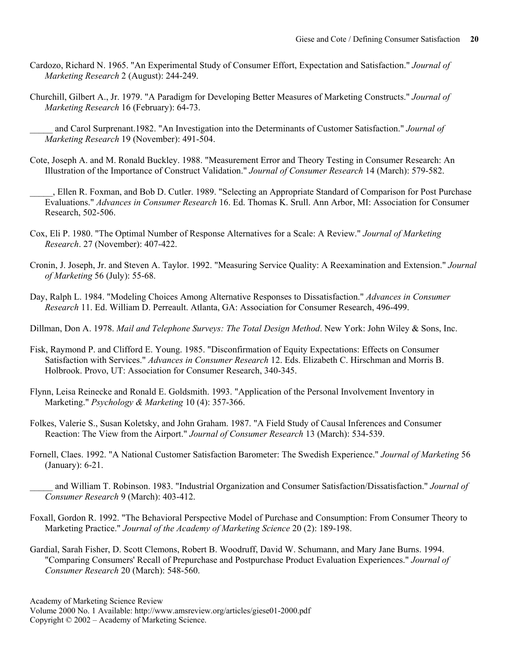- Cardozo, Richard N. 1965. "An Experimental Study of Consumer Effort, Expectation and Satisfaction." *Journal of Marketing Research* 2 (August): 244-249.
- Churchill, Gilbert A., Jr. 1979. "A Paradigm for Developing Better Measures of Marketing Constructs." *Journal of Marketing Research* 16 (February): 64-73.

\_\_\_\_\_ and Carol Surprenant.1982. "An Investigation into the Determinants of Customer Satisfaction." *Journal of Marketing Research* 19 (November): 491-504.

Cote, Joseph A. and M. Ronald Buckley. 1988. "Measurement Error and Theory Testing in Consumer Research: An Illustration of the Importance of Construct Validation." *Journal of Consumer Research* 14 (March): 579-582.

\_\_\_\_\_, Ellen R. Foxman, and Bob D. Cutler. 1989. "Selecting an Appropriate Standard of Comparison for Post Purchase Evaluations." *Advances in Consumer Research* 16. Ed. Thomas K. Srull. Ann Arbor, MI: Association for Consumer Research, 502-506.

- Cox, Eli P. 1980. "The Optimal Number of Response Alternatives for a Scale: A Review." *Journal of Marketing Research*. 27 (November): 407-422.
- Cronin, J. Joseph, Jr. and Steven A. Taylor. 1992. "Measuring Service Quality: A Reexamination and Extension." *Journal of Marketing* 56 (July): 55-68.
- Day, Ralph L. 1984. "Modeling Choices Among Alternative Responses to Dissatisfaction." *Advances in Consumer Research* 11. Ed. William D. Perreault. Atlanta, GA: Association for Consumer Research, 496-499.
- Dillman, Don A. 1978. *Mail and Telephone Surveys: The Total Design Method*. New York: John Wiley & Sons, Inc.
- Fisk, Raymond P. and Clifford E. Young. 1985. "Disconfirmation of Equity Expectations: Effects on Consumer Satisfaction with Services." *Advances in Consumer Research* 12. Eds. Elizabeth C. Hirschman and Morris B. Holbrook. Provo, UT: Association for Consumer Research, 340-345.
- Flynn, Leisa Reinecke and Ronald E. Goldsmith. 1993. "Application of the Personal Involvement Inventory in Marketing." *Psychology & Marketing* 10 (4): 357-366.
- Folkes, Valerie S., Susan Koletsky, and John Graham. 1987. "A Field Study of Causal Inferences and Consumer Reaction: The View from the Airport." *Journal of Consumer Research* 13 (March): 534-539.
- Fornell, Claes. 1992. "A National Customer Satisfaction Barometer: The Swedish Experience." *Journal of Marketing* 56 (January): 6-21.

\_\_\_\_\_ and William T. Robinson. 1983. "Industrial Organization and Consumer Satisfaction/Dissatisfaction." *Journal of Consumer Research* 9 (March): 403-412.

- Foxall, Gordon R. 1992. "The Behavioral Perspective Model of Purchase and Consumption: From Consumer Theory to Marketing Practice." *Journal of the Academy of Marketing Science* 20 (2): 189-198.
- Gardial, Sarah Fisher, D. Scott Clemons, Robert B. Woodruff, David W. Schumann, and Mary Jane Burns. 1994. "Comparing Consumers' Recall of Prepurchase and Postpurchase Product Evaluation Experiences." *Journal of Consumer Research* 20 (March): 548-560.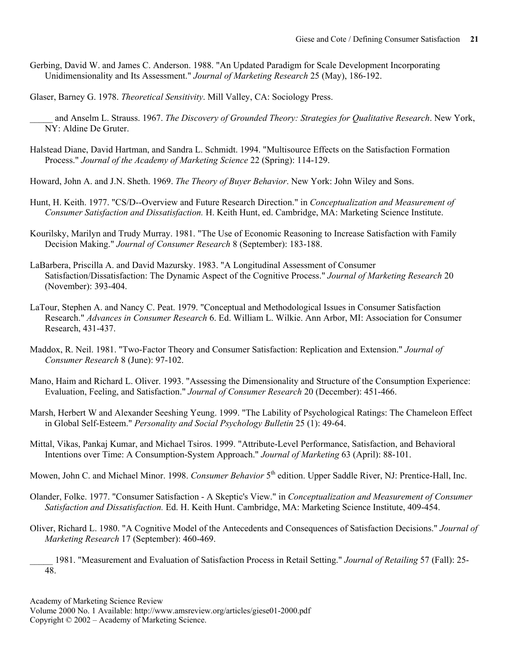- Gerbing, David W. and James C. Anderson. 1988. "An Updated Paradigm for Scale Development Incorporating Unidimensionality and Its Assessment." *Journal of Marketing Research* 25 (May), 186-192.
- Glaser, Barney G. 1978. *Theoretical Sensitivity*. Mill Valley, CA: Sociology Press.
	- \_\_\_\_\_ and Anselm L. Strauss. 1967. *The Discovery of Grounded Theory: Strategies for Qualitative Research*. New York, NY: Aldine De Gruter.
- Halstead Diane, David Hartman, and Sandra L. Schmidt. 1994. "Multisource Effects on the Satisfaction Formation Process." *Journal of the Academy of Marketing Science* 22 (Spring): 114-129.
- Howard, John A. and J.N. Sheth. 1969. *The Theory of Buyer Behavior*. New York: John Wiley and Sons.
- Hunt, H. Keith. 1977. "CS/D--Overview and Future Research Direction." in *Conceptualization and Measurement of Consumer Satisfaction and Dissatisfaction.* H. Keith Hunt, ed. Cambridge, MA: Marketing Science Institute.
- Kourilsky, Marilyn and Trudy Murray. 1981. "The Use of Economic Reasoning to Increase Satisfaction with Family Decision Making." *Journal of Consumer Research* 8 (September): 183-188.
- LaBarbera, Priscilla A. and David Mazursky. 1983. "A Longitudinal Assessment of Consumer Satisfaction/Dissatisfaction: The Dynamic Aspect of the Cognitive Process." *Journal of Marketing Research* 20 (November): 393-404.
- LaTour, Stephen A. and Nancy C. Peat. 1979. "Conceptual and Methodological Issues in Consumer Satisfaction Research." *Advances in Consumer Research* 6. Ed. William L. Wilkie. Ann Arbor, MI: Association for Consumer Research, 431-437.
- Maddox, R. Neil. 1981. "Two-Factor Theory and Consumer Satisfaction: Replication and Extension." *Journal of Consumer Research* 8 (June): 97-102.
- Mano, Haim and Richard L. Oliver. 1993. "Assessing the Dimensionality and Structure of the Consumption Experience: Evaluation, Feeling, and Satisfaction." *Journal of Consumer Research* 20 (December): 451-466.
- Marsh, Herbert W and Alexander Seeshing Yeung. 1999. "The Lability of Psychological Ratings: The Chameleon Effect in Global Self-Esteem." *Personality and Social Psychology Bulletin* 25 (1): 49-64.
- Mittal, Vikas, Pankaj Kumar, and Michael Tsiros. 1999. "Attribute-Level Performance, Satisfaction, and Behavioral Intentions over Time: A Consumption-System Approach." *Journal of Marketing* 63 (April): 88-101.
- Mowen, John C. and Michael Minor. 1998. *Consumer Behavior* 5<sup>th</sup> edition. Upper Saddle River, NJ: Prentice-Hall, Inc.
- Olander, Folke. 1977. "Consumer Satisfaction A Skeptic's View." in *Conceptualization and Measurement of Consumer Satisfaction and Dissatisfaction.* Ed. H. Keith Hunt. Cambridge, MA: Marketing Science Institute, 409-454.
- Oliver, Richard L. 1980. "A Cognitive Model of the Antecedents and Consequences of Satisfaction Decisions." *Journal of Marketing Research* 17 (September): 460-469.
	- \_\_\_\_\_ 1981. "Measurement and Evaluation of Satisfaction Process in Retail Setting." *Journal of Retailing* 57 (Fall): 25- 48.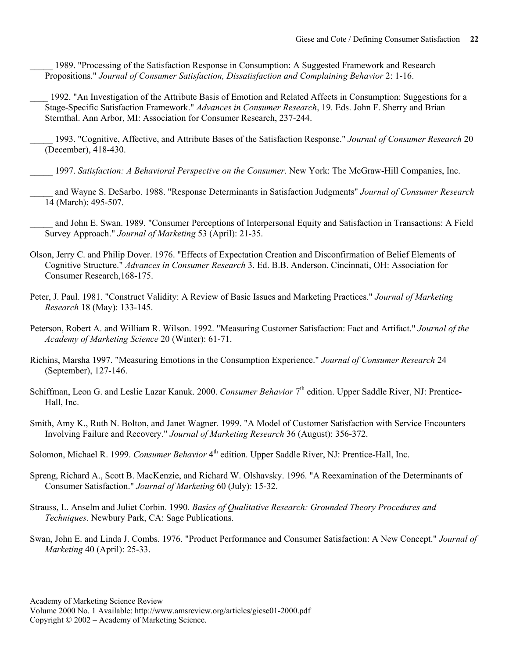1989. "Processing of the Satisfaction Response in Consumption: A Suggested Framework and Research Propositions." *Journal of Consumer Satisfaction, Dissatisfaction and Complaining Behavior* 2: 1-16.

\_\_\_\_ 1992. "An Investigation of the Attribute Basis of Emotion and Related Affects in Consumption: Suggestions for a Stage-Specific Satisfaction Framework." *Advances in Consumer Research*, 19. Eds. John F. Sherry and Brian Sternthal. Ann Arbor, MI: Association for Consumer Research, 237-244.

\_\_\_\_\_ 1993. "Cognitive, Affective, and Attribute Bases of the Satisfaction Response." *Journal of Consumer Research* 20 (December), 418-430.

\_\_\_\_\_ 1997. *Satisfaction: A Behavioral Perspective on the Consumer*. New York: The McGraw-Hill Companies, Inc.

\_\_\_\_\_ and Wayne S. DeSarbo. 1988. "Response Determinants in Satisfaction Judgments" *Journal of Consumer Research* 14 (March): 495-507.

\_\_\_\_\_ and John E. Swan. 1989. "Consumer Perceptions of Interpersonal Equity and Satisfaction in Transactions: A Field Survey Approach." *Journal of Marketing* 53 (April): 21-35.

- Olson, Jerry C. and Philip Dover. 1976. "Effects of Expectation Creation and Disconfirmation of Belief Elements of Cognitive Structure." *Advances in Consumer Research* 3. Ed. B.B. Anderson. Cincinnati, OH: Association for Consumer Research,168-175.
- Peter, J. Paul. 1981. "Construct Validity: A Review of Basic Issues and Marketing Practices." *Journal of Marketing Research* 18 (May): 133-145.
- Peterson, Robert A. and William R. Wilson. 1992. "Measuring Customer Satisfaction: Fact and Artifact." *Journal of the Academy of Marketing Science* 20 (Winter): 61-71.
- Richins, Marsha 1997. "Measuring Emotions in the Consumption Experience." *Journal of Consumer Research* 24 (September), 127-146.
- Schiffman, Leon G. and Leslie Lazar Kanuk. 2000. *Consumer Behavior* 7<sup>th</sup> edition. Upper Saddle River, NJ: Prentice-Hall, Inc.
- Smith, Amy K., Ruth N. Bolton, and Janet Wagner. 1999. "A Model of Customer Satisfaction with Service Encounters Involving Failure and Recovery." *Journal of Marketing Research* 36 (August): 356-372.
- Solomon, Michael R. 1999. *Consumer Behavior* 4<sup>th</sup> edition. Upper Saddle River, NJ: Prentice-Hall, Inc.
- Spreng, Richard A., Scott B. MacKenzie, and Richard W. Olshavsky. 1996. "A Reexamination of the Determinants of Consumer Satisfaction." *Journal of Marketing* 60 (July): 15-32.
- Strauss, L. Anselm and Juliet Corbin. 1990. *Basics of Qualitative Research: Grounded Theory Procedures and Techniques*. Newbury Park, CA: Sage Publications.
- Swan, John E. and Linda J. Combs. 1976. "Product Performance and Consumer Satisfaction: A New Concept." *Journal of Marketing* 40 (April): 25-33.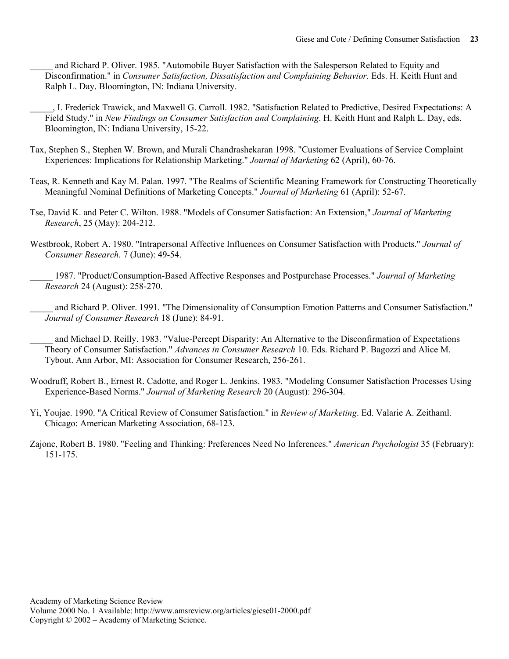\_\_\_\_\_ and Richard P. Oliver. 1985. "Automobile Buyer Satisfaction with the Salesperson Related to Equity and Disconfirmation." in *Consumer Satisfaction, Dissatisfaction and Complaining Behavior.* Eds. H. Keith Hunt and Ralph L. Day. Bloomington, IN: Indiana University.

\_\_\_\_\_, I. Frederick Trawick, and Maxwell G. Carroll. 1982. "Satisfaction Related to Predictive, Desired Expectations: A Field Study." in *New Findings on Consumer Satisfaction and Complaining*. H. Keith Hunt and Ralph L. Day, eds. Bloomington, IN: Indiana University, 15-22.

- Tax, Stephen S., Stephen W. Brown, and Murali Chandrashekaran 1998. "Customer Evaluations of Service Complaint Experiences: Implications for Relationship Marketing." *Journal of Marketing* 62 (April), 60-76.
- Teas, R. Kenneth and Kay M. Palan. 1997. "The Realms of Scientific Meaning Framework for Constructing Theoretically Meaningful Nominal Definitions of Marketing Concepts." *Journal of Marketing* 61 (April): 52-67.
- Tse, David K. and Peter C. Wilton. 1988. "Models of Consumer Satisfaction: An Extension," *Journal of Marketing Research*, 25 (May): 204-212.
- Westbrook, Robert A. 1980. "Intrapersonal Affective Influences on Consumer Satisfaction with Products." *Journal of Consumer Research.* 7 (June): 49-54.
	- \_\_\_\_\_ 1987. "Product/Consumption-Based Affective Responses and Postpurchase Processes." *Journal of Marketing Research* 24 (August): 258-270.
	- \_\_\_\_\_ and Richard P. Oliver. 1991. "The Dimensionality of Consumption Emotion Patterns and Consumer Satisfaction." *Journal of Consumer Research* 18 (June): 84-91.

and Michael D. Reilly. 1983. "Value-Percept Disparity: An Alternative to the Disconfirmation of Expectations Theory of Consumer Satisfaction." *Advances in Consumer Research* 10. Eds. Richard P. Bagozzi and Alice M. Tybout. Ann Arbor, MI: Association for Consumer Research, 256-261.

- Woodruff, Robert B., Ernest R. Cadotte, and Roger L. Jenkins. 1983. "Modeling Consumer Satisfaction Processes Using Experience-Based Norms." *Journal of Marketing Research* 20 (August): 296-304.
- Yi, Youjae. 1990. "A Critical Review of Consumer Satisfaction." in *Review of Marketing*. Ed. Valarie A. Zeithaml. Chicago: American Marketing Association, 68-123.
- Zajonc, Robert B. 1980. "Feeling and Thinking: Preferences Need No Inferences." *American Psychologist* 35 (February): 151-175.